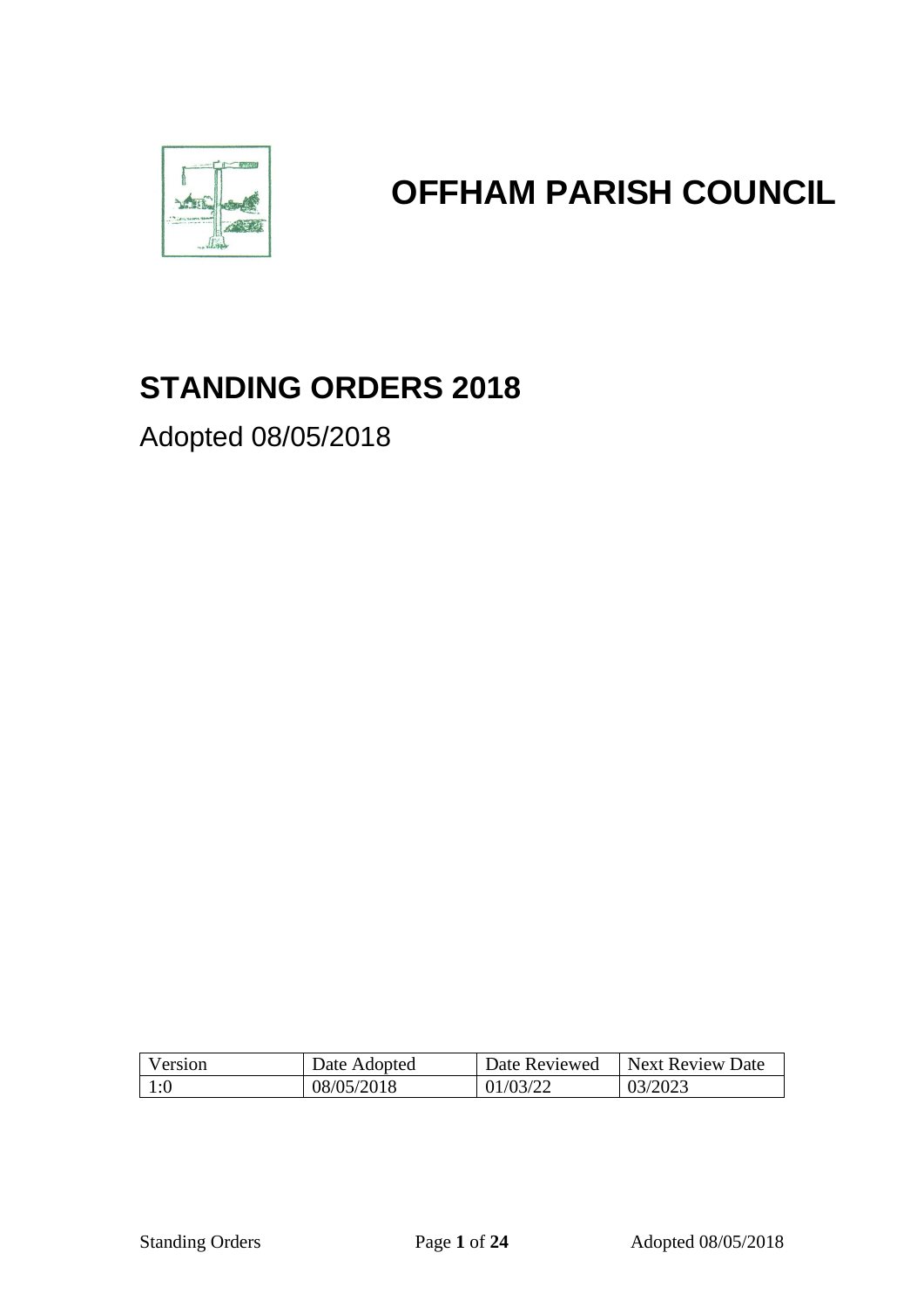

# **OFFHAM PARISH COUNCIL**

# **STANDING ORDERS 2018**

Adopted 08/05/2018

| Version | Date Adopted | Date Reviewed | Next Review Date |
|---------|--------------|---------------|------------------|
| 1:0     | 08/05/2018   | 01/03/22      | 03/2023          |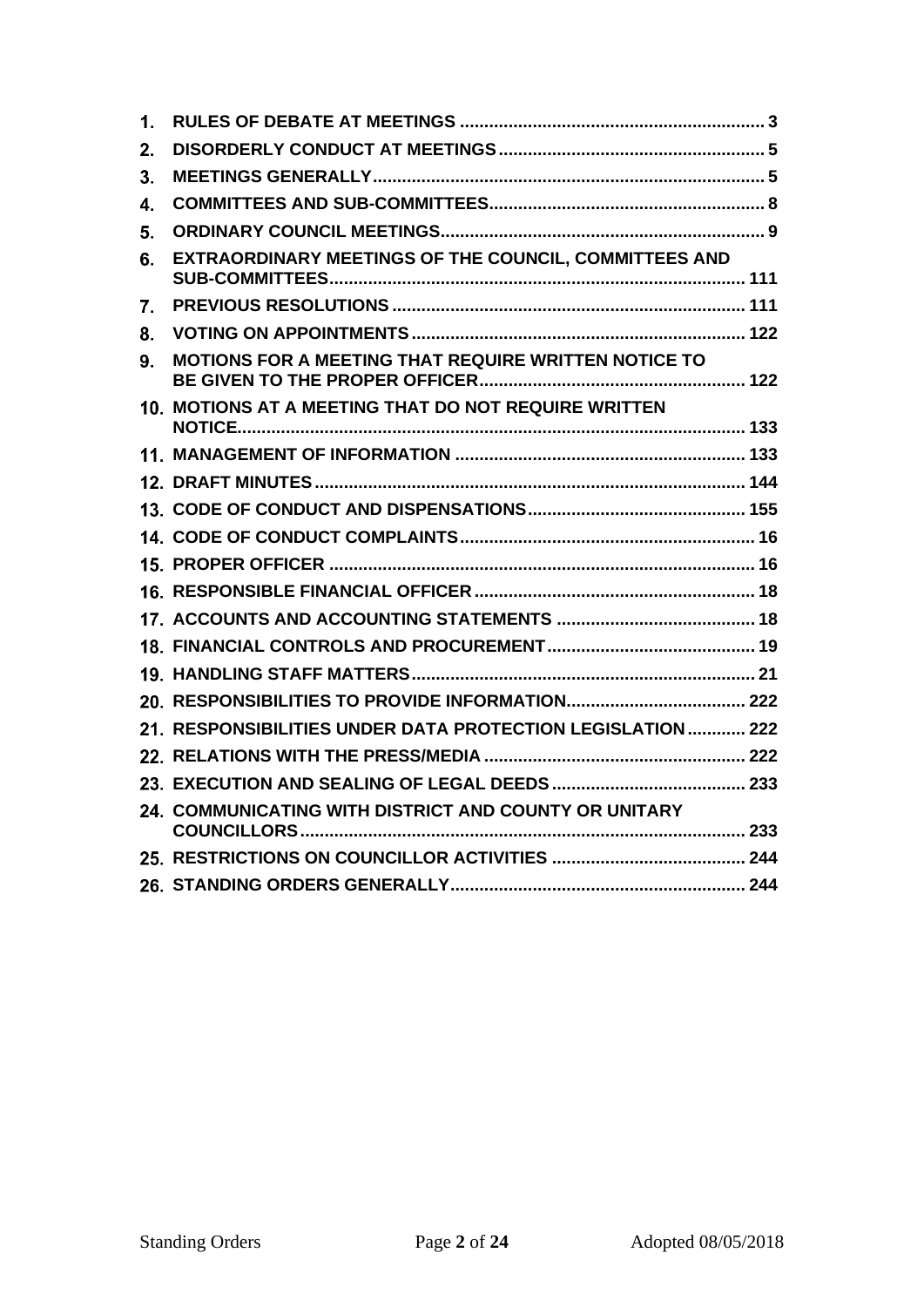| 1. |                                                            |
|----|------------------------------------------------------------|
| 2. |                                                            |
| 3. |                                                            |
| 4. |                                                            |
| 5. |                                                            |
| 6. | EXTRAORDINARY MEETINGS OF THE COUNCIL, COMMITTEES AND      |
| 7. |                                                            |
| 8. |                                                            |
| 9. | MOTIONS FOR A MEETING THAT REQUIRE WRITTEN NOTICE TO       |
|    | 10. MOTIONS AT A MEETING THAT DO NOT REQUIRE WRITTEN       |
|    |                                                            |
|    |                                                            |
|    |                                                            |
|    |                                                            |
|    |                                                            |
|    |                                                            |
|    |                                                            |
|    |                                                            |
|    |                                                            |
|    |                                                            |
|    | 21. RESPONSIBILITIES UNDER DATA PROTECTION LEGISLATION 222 |
|    |                                                            |
|    |                                                            |
|    | 24. COMMUNICATING WITH DISTRICT AND COUNTY OR UNITARY      |
|    |                                                            |
|    |                                                            |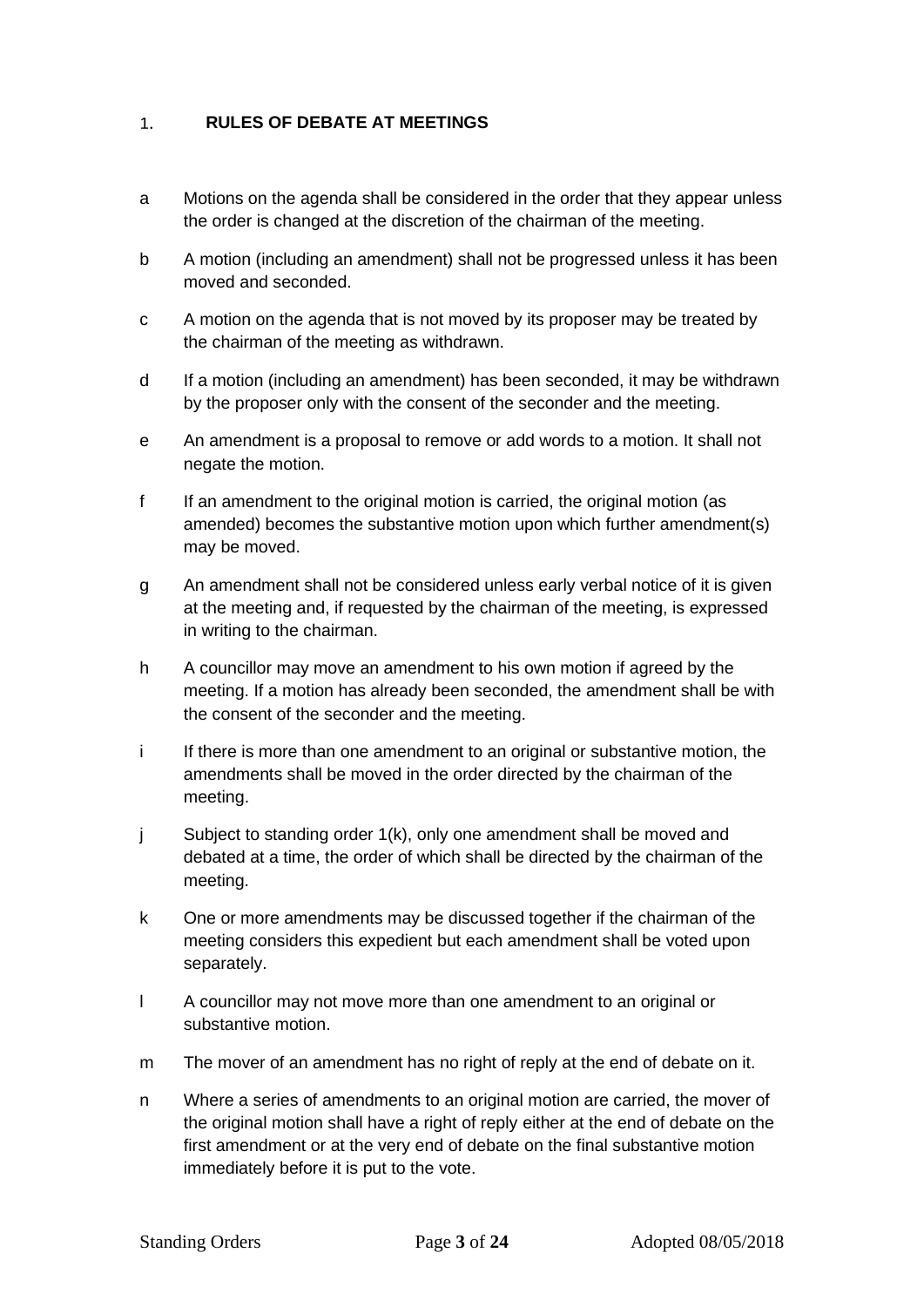#### <span id="page-2-0"></span> $1.$ **RULES OF DEBATE AT MEETINGS**

- a Motions on the agenda shall be considered in the order that they appear unless the order is changed at the discretion of the chairman of the meeting.
- b A motion (including an amendment) shall not be progressed unless it has been moved and seconded.
- c A motion on the agenda that is not moved by its proposer may be treated by the chairman of the meeting as withdrawn.
- d If a motion (including an amendment) has been seconded, it may be withdrawn by the proposer only with the consent of the seconder and the meeting.
- e An amendment is a proposal to remove or add words to a motion. It shall not negate the motion.
- f If an amendment to the original motion is carried, the original motion (as amended) becomes the substantive motion upon which further amendment(s) may be moved.
- g An amendment shall not be considered unless early verbal notice of it is given at the meeting and, if requested by the chairman of the meeting, is expressed in writing to the chairman.
- h A councillor may move an amendment to his own motion if agreed by the meeting. If a motion has already been seconded, the amendment shall be with the consent of the seconder and the meeting.
- i If there is more than one amendment to an original or substantive motion, the amendments shall be moved in the order directed by the chairman of the meeting.
- j Subject to standing order 1(k), only one amendment shall be moved and debated at a time, the order of which shall be directed by the chairman of the meeting.
- k One or more amendments may be discussed together if the chairman of the meeting considers this expedient but each amendment shall be voted upon separately.
- l A councillor may not move more than one amendment to an original or substantive motion.
- m The mover of an amendment has no right of reply at the end of debate on it.
- n Where a series of amendments to an original motion are carried, the mover of the original motion shall have a right of reply either at the end of debate on the first amendment or at the very end of debate on the final substantive motion immediately before it is put to the vote.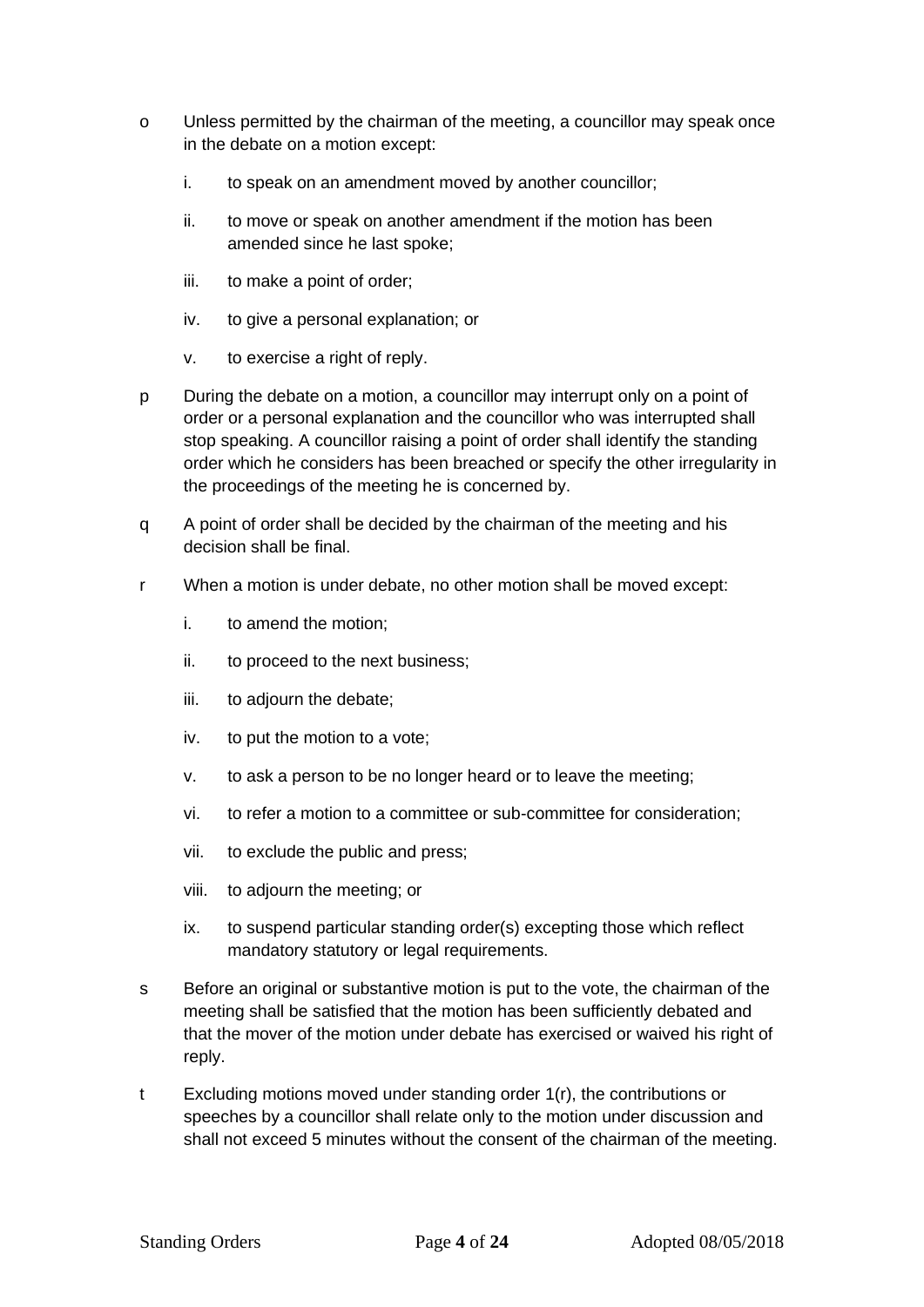- o Unless permitted by the chairman of the meeting, a councillor may speak once in the debate on a motion except:
	- i. to speak on an amendment moved by another councillor;
	- ii. to move or speak on another amendment if the motion has been amended since he last spoke;
	- iii. to make a point of order;
	- iv. to give a personal explanation; or
	- v. to exercise a right of reply.
- p During the debate on a motion, a councillor may interrupt only on a point of order or a personal explanation and the councillor who was interrupted shall stop speaking. A councillor raising a point of order shall identify the standing order which he considers has been breached or specify the other irregularity in the proceedings of the meeting he is concerned by.
- q A point of order shall be decided by the chairman of the meeting and his decision shall be final.
- r When a motion is under debate, no other motion shall be moved except:
	- i. to amend the motion;
	- ii. to proceed to the next business;
	- iii. to adjourn the debate;
	- iv. to put the motion to a vote;
	- v. to ask a person to be no longer heard or to leave the meeting;
	- vi. to refer a motion to a committee or sub-committee for consideration;
	- vii. to exclude the public and press;
	- viii. to adjourn the meeting; or
	- ix. to suspend particular standing order(s) excepting those which reflect mandatory statutory or legal requirements.
- s Before an original or substantive motion is put to the vote, the chairman of the meeting shall be satisfied that the motion has been sufficiently debated and that the mover of the motion under debate has exercised or waived his right of reply.
- t Excluding motions moved under standing order 1(r), the contributions or speeches by a councillor shall relate only to the motion under discussion and shall not exceed 5 minutes without the consent of the chairman of the meeting.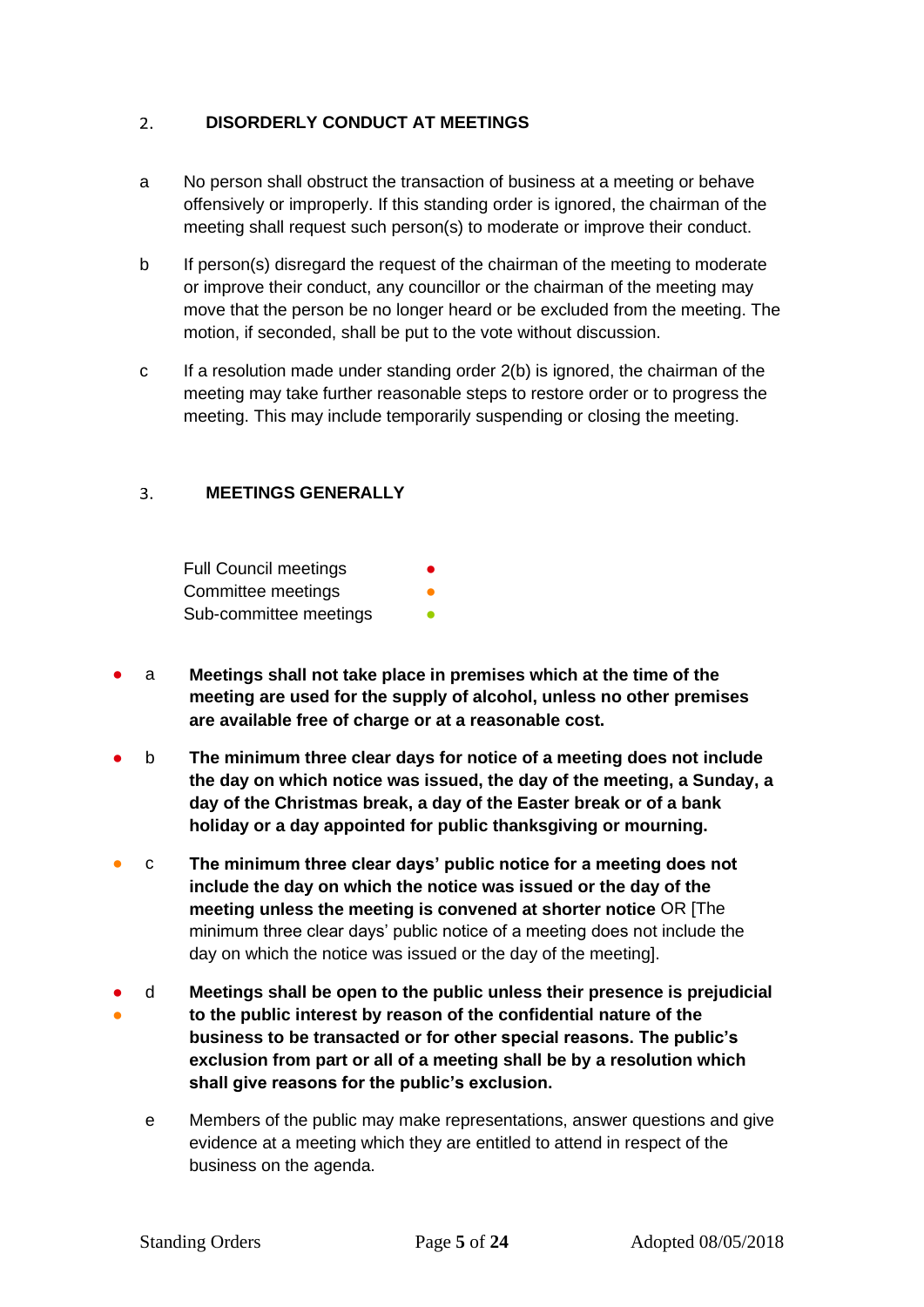#### <span id="page-4-0"></span>**DISORDERLY CONDUCT AT MEETINGS**  $2.$

- a No person shall obstruct the transaction of business at a meeting or behave offensively or improperly. If this standing order is ignored, the chairman of the meeting shall request such person(s) to moderate or improve their conduct.
- b If person(s) disregard the request of the chairman of the meeting to moderate or improve their conduct, any councillor or the chairman of the meeting may move that the person be no longer heard or be excluded from the meeting. The motion, if seconded, shall be put to the vote without discussion.
- c If a resolution made under standing order 2(b) is ignored, the chairman of the meeting may take further reasonable steps to restore order or to progress the meeting. This may include temporarily suspending or closing the meeting.

#### <span id="page-4-1"></span>**MEETINGS GENERALLY**  $\overline{3}$

Full Council meetings Committee meetings Sub-committee meetings

- a **Meetings shall not take place in premises which at the time of the meeting are used for the supply of alcohol, unless no other premises are available free of charge or at a reasonable cost.**
- b **The minimum three clear days for notice of a meeting does not include the day on which notice was issued, the day of the meeting, a Sunday, a day of the Christmas break, a day of the Easter break or of a bank holiday or a day appointed for public thanksgiving or mourning.**
- c **The minimum three clear days' public notice for a meeting does not include the day on which the notice was issued or the day of the meeting unless the meeting is convened at shorter notice** OR [The minimum three clear days' public notice of a meeting does not include the day on which the notice was issued or the day of the meeting].
- ● d **Meetings shall be open to the public unless their presence is prejudicial to the public interest by reason of the confidential nature of the business to be transacted or for other special reasons. The public's exclusion from part or all of a meeting shall be by a resolution which shall give reasons for the public's exclusion.**
	- e Members of the public may make representations, answer questions and give evidence at a meeting which they are entitled to attend in respect of the business on the agenda.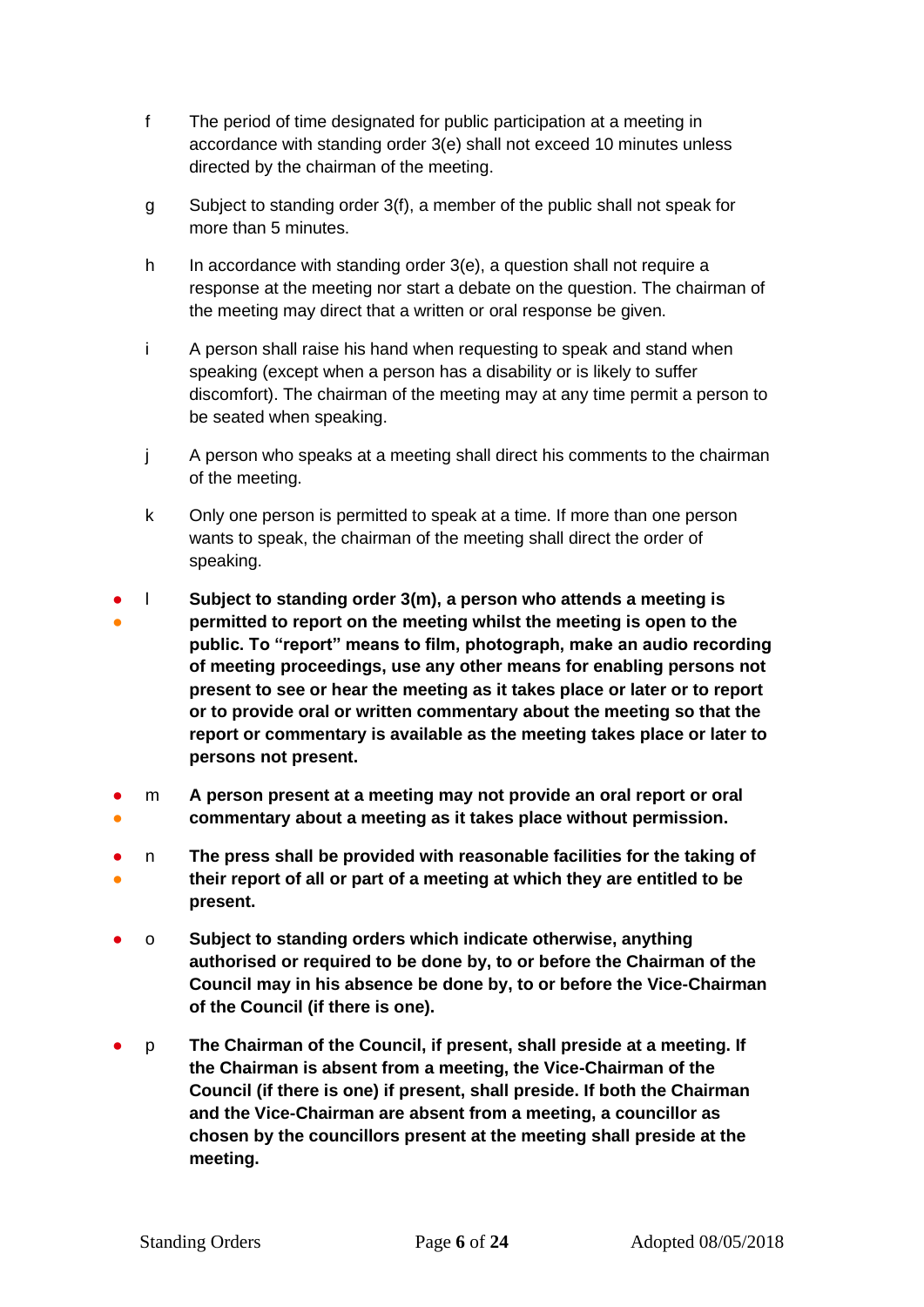- f The period of time designated for public participation at a meeting in accordance with standing order 3(e) shall not exceed 10 minutes unless directed by the chairman of the meeting.
- g Subject to standing order 3(f), a member of the public shall not speak for more than 5 minutes.
- h In accordance with standing order 3(e), a question shall not require a response at the meeting nor start a debate on the question. The chairman of the meeting may direct that a written or oral response be given.
- i A person shall raise his hand when requesting to speak and stand when speaking (except when a person has a disability or is likely to suffer discomfort). The chairman of the meeting may at any time permit a person to be seated when speaking.
- j A person who speaks at a meeting shall direct his comments to the chairman of the meeting.
- k Only one person is permitted to speak at a time. If more than one person wants to speak, the chairman of the meeting shall direct the order of speaking.
- ● l **Subject to standing order 3(m), a person who attends a meeting is permitted to report on the meeting whilst the meeting is open to the public. To "report" means to film, photograph, make an audio recording of meeting proceedings, use any other means for enabling persons not present to see or hear the meeting as it takes place or later or to report or to provide oral or written commentary about the meeting so that the report or commentary is available as the meeting takes place or later to persons not present.**
- ● m **A person present at a meeting may not provide an oral report or oral commentary about a meeting as it takes place without permission.**
- ● n **The press shall be provided with reasonable facilities for the taking of their report of all or part of a meeting at which they are entitled to be present.**
- o **Subject to standing orders which indicate otherwise, anything authorised or required to be done by, to or before the Chairman of the Council may in his absence be done by, to or before the Vice-Chairman of the Council (if there is one).**
- p **The Chairman of the Council, if present, shall preside at a meeting. If the Chairman is absent from a meeting, the Vice-Chairman of the Council (if there is one) if present, shall preside. If both the Chairman and the Vice-Chairman are absent from a meeting, a councillor as chosen by the councillors present at the meeting shall preside at the meeting.**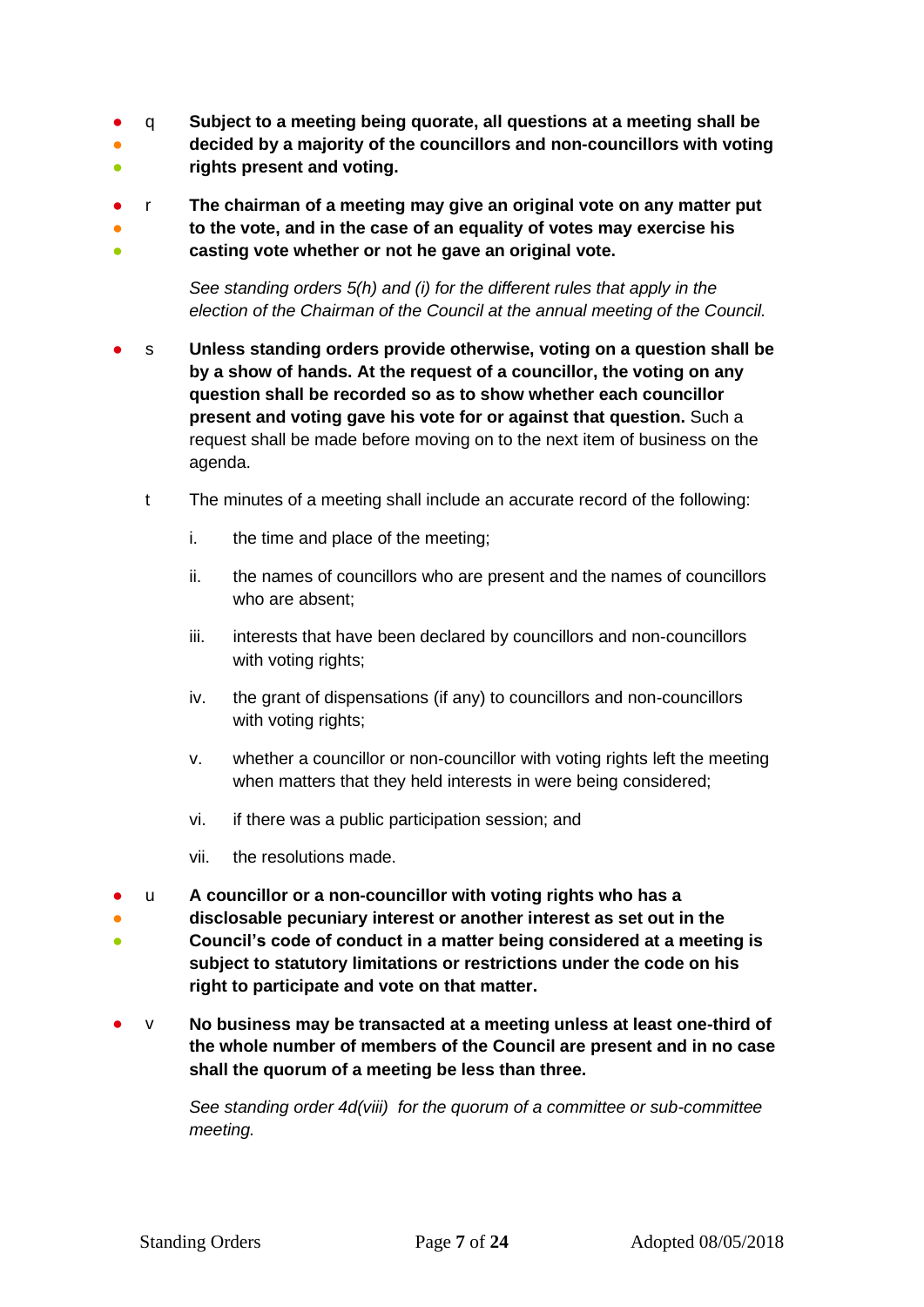- q **Subject to a meeting being quorate, all questions at a meeting shall be**
- 。<br>● **decided by a majority of the councillors and non-councillors with voting**
- **rights present and voting.**
- r **The chairman of a meeting may give an original vote on any matter put**

● **to the vote, and in the case of an equality of votes may exercise his** 

● **casting vote whether or not he gave an original vote.**

> *See standing orders 5(h) and (i) for the different rules that apply in the election of the Chairman of the Council at the annual meeting of the Council.*

- s **Unless standing orders provide otherwise, voting on a question shall be by a show of hands. At the request of a councillor, the voting on any question shall be recorded so as to show whether each councillor present and voting gave his vote for or against that question.** Such a request shall be made before moving on to the next item of business on the agenda.
	- t The minutes of a meeting shall include an accurate record of the following:
		- i. the time and place of the meeting;
		- ii. the names of councillors who are present and the names of councillors who are absent;
		- iii. interests that have been declared by councillors and non-councillors with voting rights;
		- iv. the grant of dispensations (if any) to councillors and non-councillors with voting rights;
		- v. whether a councillor or non-councillor with voting rights left the meeting when matters that they held interests in were being considered;
		- vi. if there was a public participation session; and
		- vii. the resolutions made.
- u **A councillor or a non-councillor with voting rights who has a**
- **disclosable pecuniary interest or another interest as set out in the**
- **Council's code of conduct in a matter being considered at a meeting is subject to statutory limitations or restrictions under the code on his right to participate and vote on that matter.**
- v **No business may be transacted at a meeting unless at least one-third of the whole number of members of the Council are present and in no case shall the quorum of a meeting be less than three.**

*See standing order 4d(viii) for the quorum of a committee or sub-committee meeting.*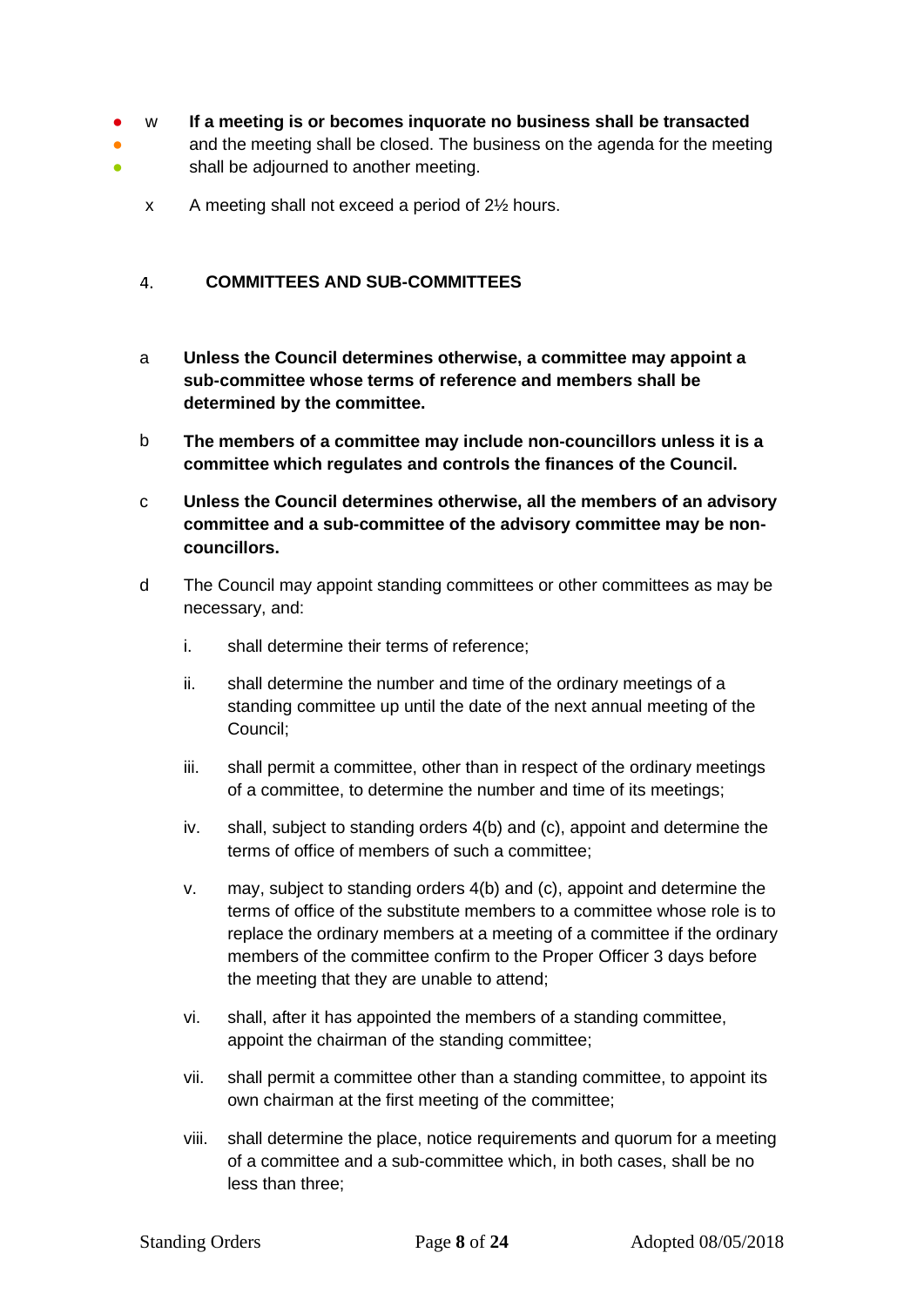#### ● w **If a meeting is or becomes inquorate no business shall be transacted**

- ● and the meeting shall be closed. The business on the agenda for the meeting shall be adjourned to another meeting.
	- x A meeting shall not exceed a period of 2½ hours.

#### <span id="page-7-0"></span> $\overline{4}$ . **COMMITTEES AND SUB-COMMITTEES**

- a **Unless the Council determines otherwise, a committee may appoint a sub-committee whose terms of reference and members shall be determined by the committee.**
- b **The members of a committee may include non-councillors unless it is a committee which regulates and controls the finances of the Council.**
- c **Unless the Council determines otherwise, all the members of an advisory committee and a sub-committee of the advisory committee may be noncouncillors.**
- d The Council may appoint standing committees or other committees as may be necessary, and:
	- i. shall determine their terms of reference;
	- ii. shall determine the number and time of the ordinary meetings of a standing committee up until the date of the next annual meeting of the Council;
	- iii. shall permit a committee, other than in respect of the ordinary meetings of a committee, to determine the number and time of its meetings;
	- iv. shall, subject to standing orders 4(b) and (c), appoint and determine the terms of office of members of such a committee;
	- v. may, subject to standing orders 4(b) and (c), appoint and determine the terms of office of the substitute members to a committee whose role is to replace the ordinary members at a meeting of a committee if the ordinary members of the committee confirm to the Proper Officer 3 days before the meeting that they are unable to attend;
	- vi. shall, after it has appointed the members of a standing committee, appoint the chairman of the standing committee;
	- vii. shall permit a committee other than a standing committee, to appoint its own chairman at the first meeting of the committee;
	- viii. shall determine the place, notice requirements and quorum for a meeting of a committee and a sub-committee which, in both cases, shall be no less than three;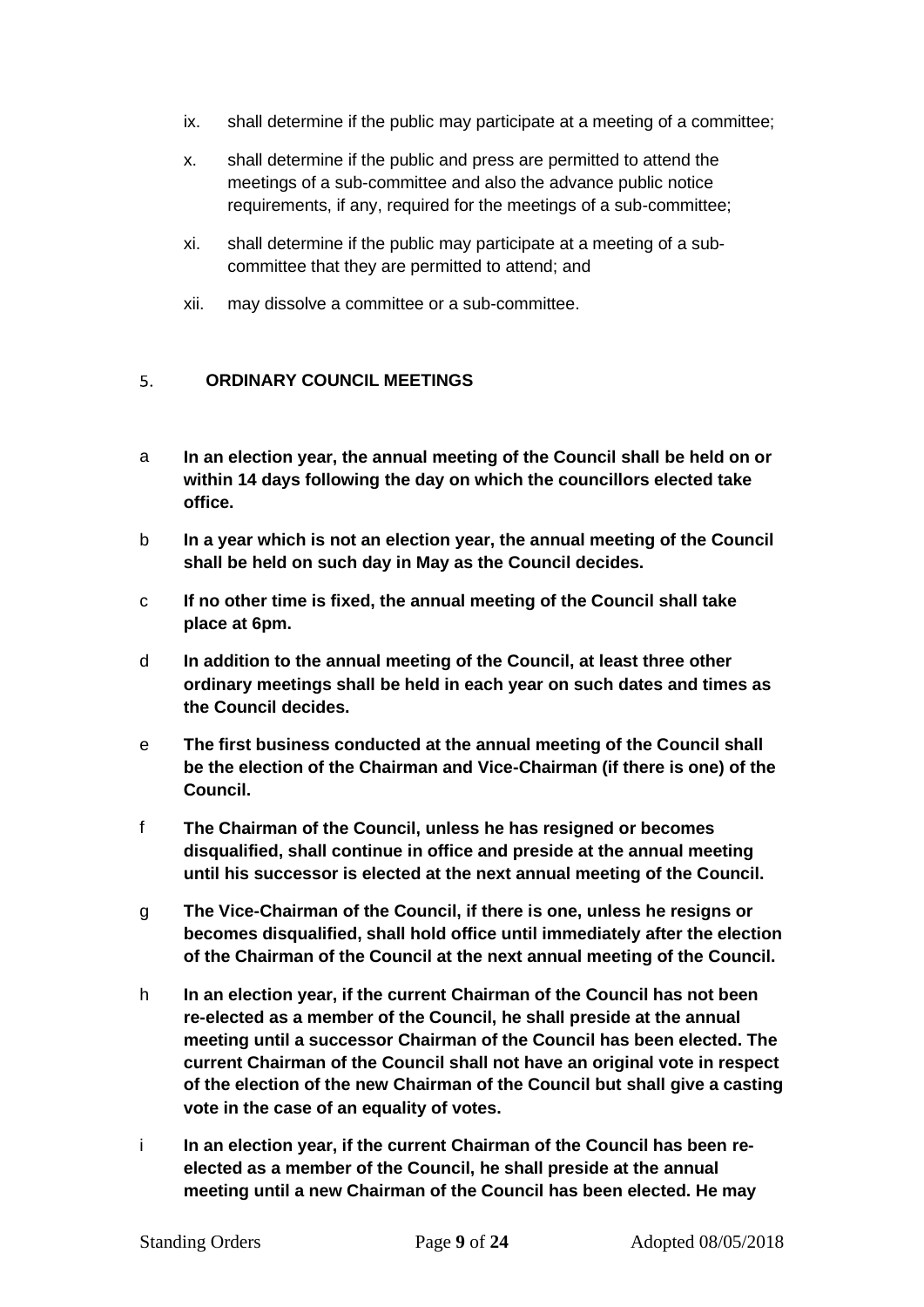- ix. shall determine if the public may participate at a meeting of a committee;
- x. shall determine if the public and press are permitted to attend the meetings of a sub-committee and also the advance public notice requirements, if any, required for the meetings of a sub-committee;
- xi. shall determine if the public may participate at a meeting of a subcommittee that they are permitted to attend; and
- xii. may dissolve a committee or a sub-committee.

#### <span id="page-8-0"></span> $5<sub>1</sub>$ **ORDINARY COUNCIL MEETINGS**

- a **In an election year, the annual meeting of the Council shall be held on or within 14 days following the day on which the councillors elected take office.**
- b **In a year which is not an election year, the annual meeting of the Council shall be held on such day in May as the Council decides.**
- c **If no other time is fixed, the annual meeting of the Council shall take place at 6pm.**
- d **In addition to the annual meeting of the Council, at least three other ordinary meetings shall be held in each year on such dates and times as the Council decides.**
- e **The first business conducted at the annual meeting of the Council shall be the election of the Chairman and Vice-Chairman (if there is one) of the Council.**
- f **The Chairman of the Council, unless he has resigned or becomes disqualified, shall continue in office and preside at the annual meeting until his successor is elected at the next annual meeting of the Council.**
- g **The Vice-Chairman of the Council, if there is one, unless he resigns or becomes disqualified, shall hold office until immediately after the election of the Chairman of the Council at the next annual meeting of the Council.**
- h **In an election year, if the current Chairman of the Council has not been re-elected as a member of the Council, he shall preside at the annual meeting until a successor Chairman of the Council has been elected. The current Chairman of the Council shall not have an original vote in respect of the election of the new Chairman of the Council but shall give a casting vote in the case of an equality of votes.**
- i **In an election year, if the current Chairman of the Council has been reelected as a member of the Council, he shall preside at the annual meeting until a new Chairman of the Council has been elected. He may**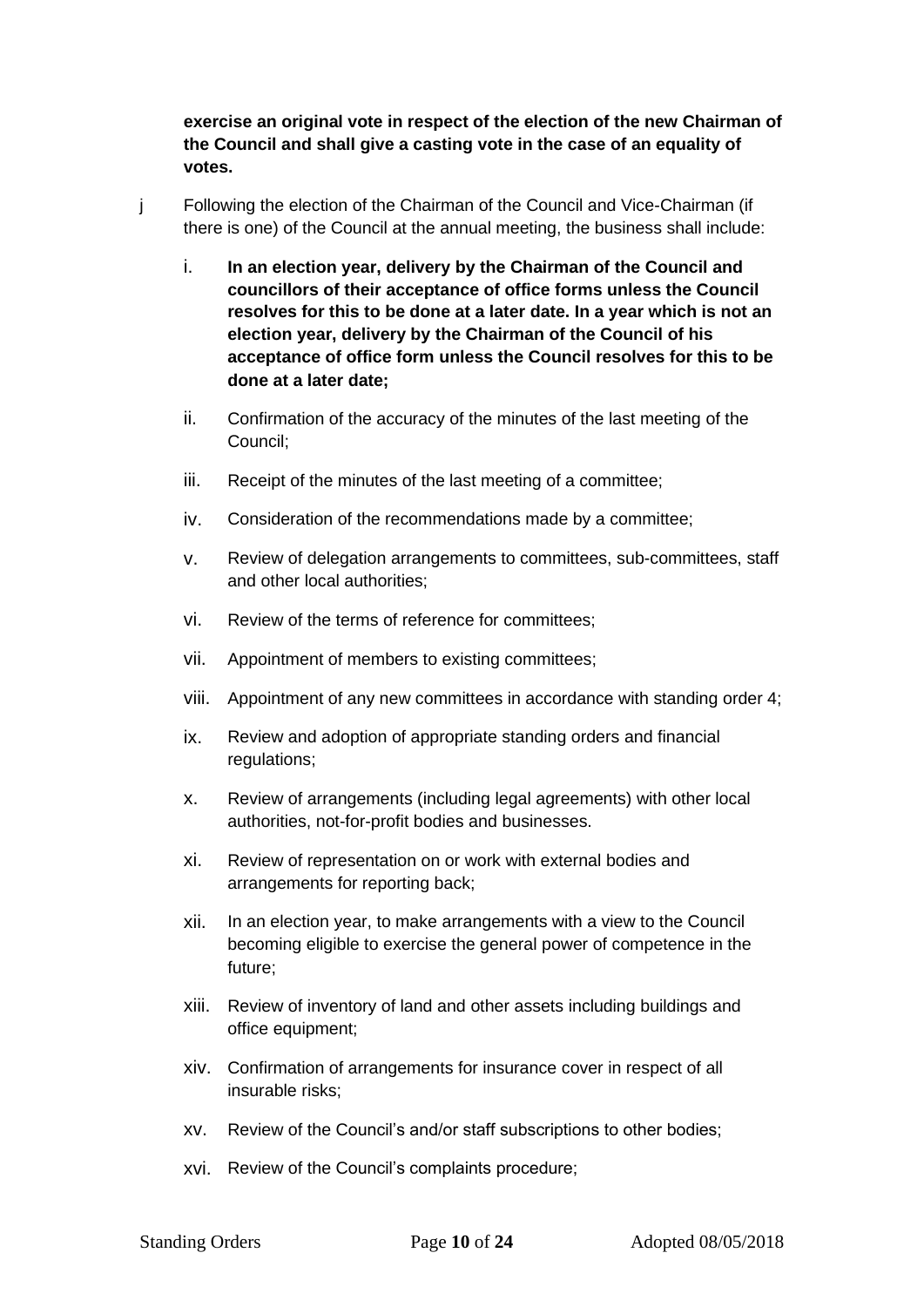**exercise an original vote in respect of the election of the new Chairman of the Council and shall give a casting vote in the case of an equality of votes.**

- j Following the election of the Chairman of the Council and Vice-Chairman (if there is one) of the Council at the annual meeting, the business shall include:
	- i. **In an election year, delivery by the Chairman of the Council and councillors of their acceptance of office forms unless the Council resolves for this to be done at a later date. In a year which is not an election year, delivery by the Chairman of the Council of his acceptance of office form unless the Council resolves for this to be done at a later date;**
	- ii. Confirmation of the accuracy of the minutes of the last meeting of the Council;
	- iii. Receipt of the minutes of the last meeting of a committee;
	- iv. Consideration of the recommendations made by a committee;
	- v. Review of delegation arrangements to committees, sub-committees, staff and other local authorities;
	- vi. Review of the terms of reference for committees;
	- vii. Appointment of members to existing committees;
	- viii. Appointment of any new committees in accordance with standing order 4;
	- ix. Review and adoption of appropriate standing orders and financial regulations;
	- x. Review of arrangements (including legal agreements) with other local authorities, not-for-profit bodies and businesses.
	- xi. Review of representation on or work with external bodies and arrangements for reporting back;
	- xii. In an election year, to make arrangements with a view to the Council becoming eligible to exercise the general power of competence in the future;
	- xiii. Review of inventory of land and other assets including buildings and office equipment;
	- xiv. Confirmation of arrangements for insurance cover in respect of all insurable risks;
	- xv. Review of the Council's and/or staff subscriptions to other bodies;
	- xvi. Review of the Council's complaints procedure;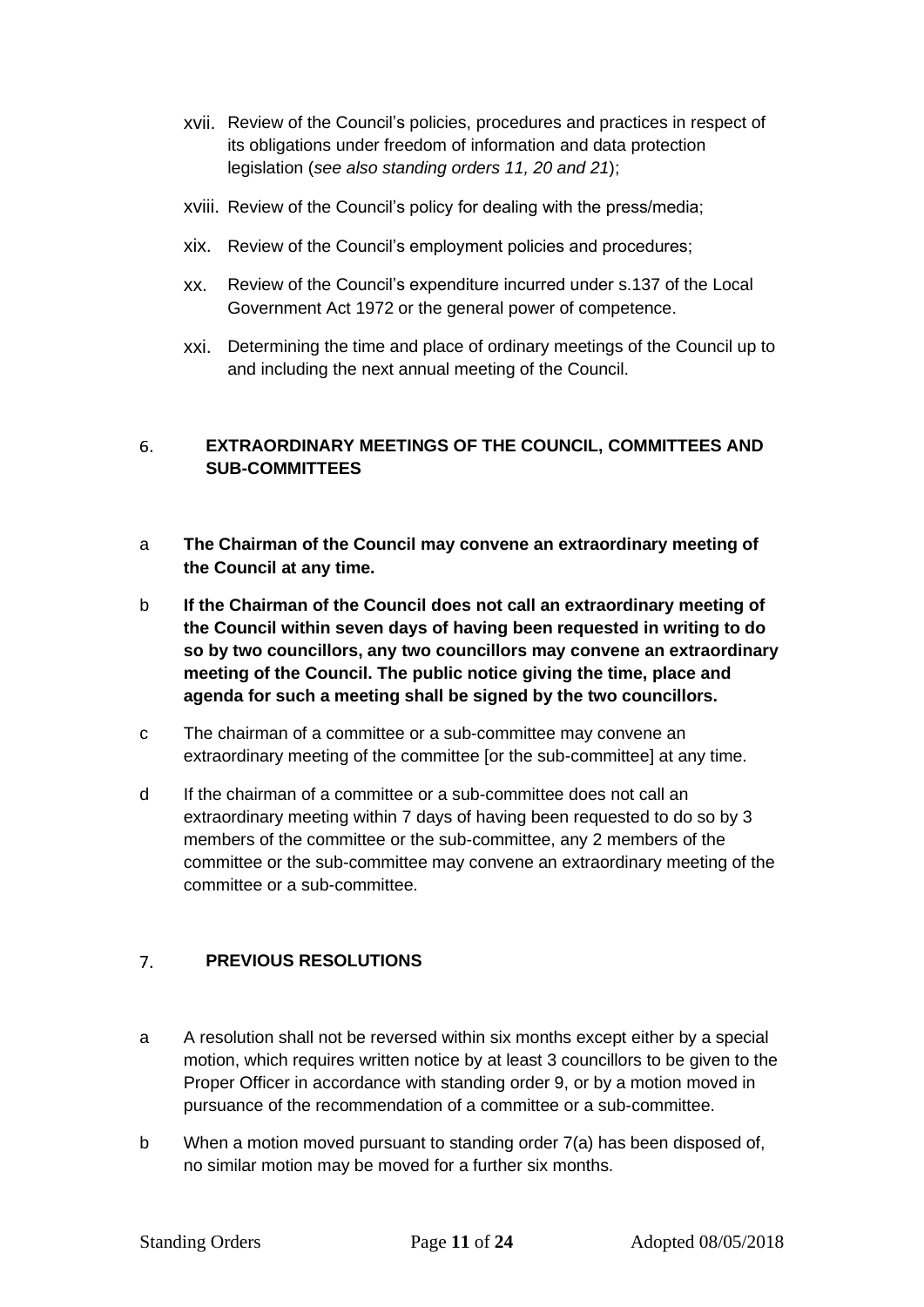- xvii. Review of the Council's policies, procedures and practices in respect of its obligations under freedom of information and data protection legislation (*see also standing orders 11, 20 and 21*);
- xviii. Review of the Council's policy for dealing with the press/media;
- xix. Review of the Council's employment policies and procedures;
- xx. Review of the Council's expenditure incurred under s.137 of the Local Government Act 1972 or the general power of competence.
- xxi. Determining the time and place of ordinary meetings of the Council up to and including the next annual meeting of the Council.

### <span id="page-10-0"></span>**EXTRAORDINARY MEETINGS OF THE COUNCIL, COMMITTEES AND**  6. **SUB-COMMITTEES**

- a **The Chairman of the Council may convene an extraordinary meeting of the Council at any time.**
- b **If the Chairman of the Council does not call an extraordinary meeting of the Council within seven days of having been requested in writing to do so by two councillors, any two councillors may convene an extraordinary meeting of the Council. The public notice giving the time, place and agenda for such a meeting shall be signed by the two councillors.**
- c The chairman of a committee or a sub-committee may convene an extraordinary meeting of the committee [or the sub-committee] at any time.
- d If the chairman of a committee or a sub-committee does not call an extraordinary meeting within 7 days of having been requested to do so by 3 members of the committee or the sub-committee, any 2 members of the committee or the sub-committee may convene an extraordinary meeting of the committee or a sub-committee.

#### <span id="page-10-1"></span>**PREVIOUS RESOLUTIONS**  $7<sub>1</sub>$

- a A resolution shall not be reversed within six months except either by a special motion, which requires written notice by at least 3 councillors to be given to the Proper Officer in accordance with standing order 9, or by a motion moved in pursuance of the recommendation of a committee or a sub-committee.
- b When a motion moved pursuant to standing order 7(a) has been disposed of, no similar motion may be moved for a further six months.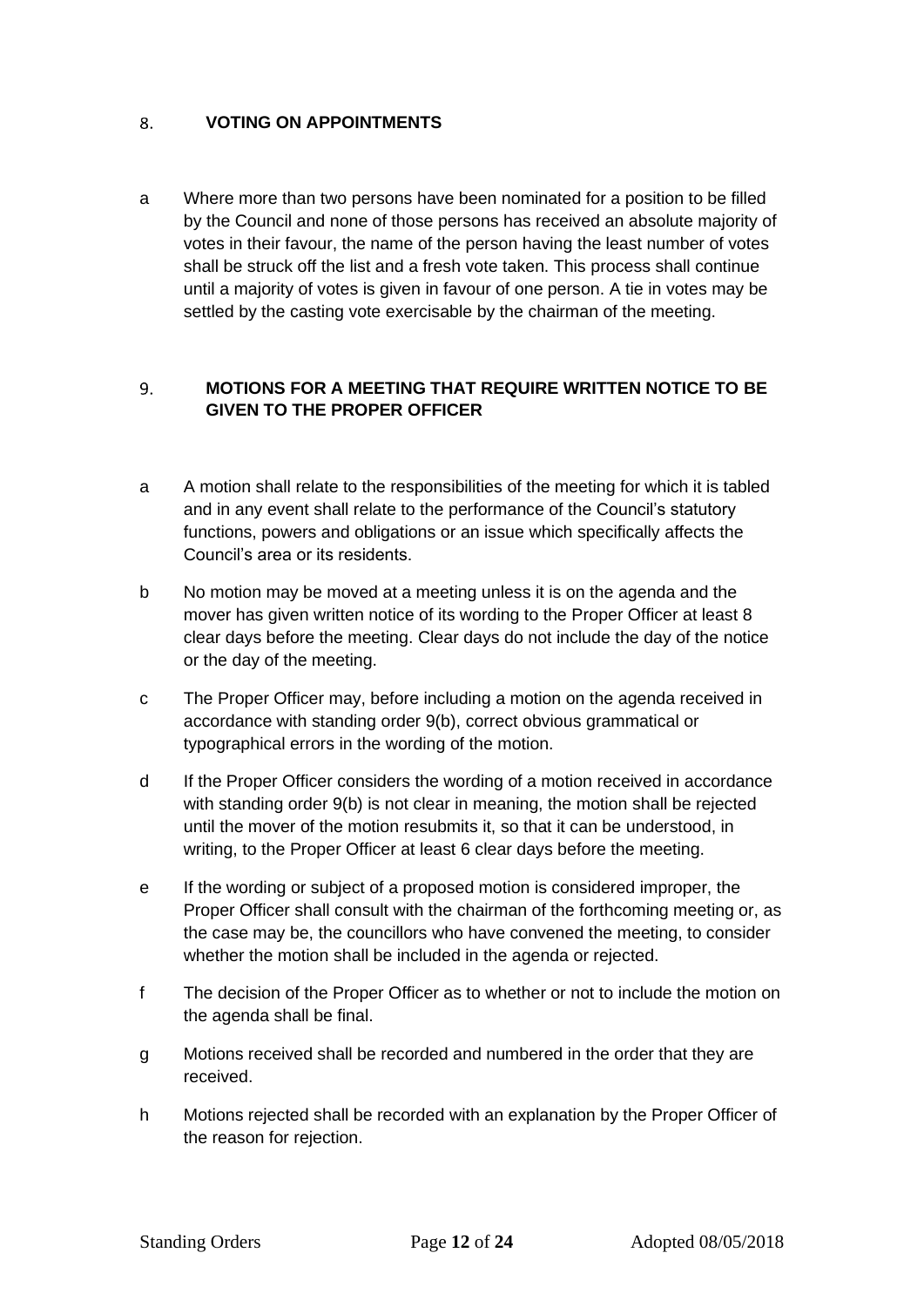#### <span id="page-11-0"></span>**VOTING ON APPOINTMENTS** 8.

a Where more than two persons have been nominated for a position to be filled by the Council and none of those persons has received an absolute majority of votes in their favour, the name of the person having the least number of votes shall be struck off the list and a fresh vote taken. This process shall continue until a majority of votes is given in favour of one person. A tie in votes may be settled by the casting vote exercisable by the chairman of the meeting.

### <span id="page-11-1"></span>**MOTIONS FOR A MEETING THAT REQUIRE WRITTEN NOTICE TO BE**   $9<sub>1</sub>$ **GIVEN TO THE PROPER OFFICER**

- a A motion shall relate to the responsibilities of the meeting for which it is tabled and in any event shall relate to the performance of the Council's statutory functions, powers and obligations or an issue which specifically affects the Council's area or its residents.
- b No motion may be moved at a meeting unless it is on the agenda and the mover has given written notice of its wording to the Proper Officer at least 8 clear days before the meeting. Clear days do not include the day of the notice or the day of the meeting.
- c The Proper Officer may, before including a motion on the agenda received in accordance with standing order 9(b), correct obvious grammatical or typographical errors in the wording of the motion.
- d If the Proper Officer considers the wording of a motion received in accordance with standing order 9(b) is not clear in meaning, the motion shall be rejected until the mover of the motion resubmits it, so that it can be understood, in writing, to the Proper Officer at least 6 clear days before the meeting.
- e If the wording or subject of a proposed motion is considered improper, the Proper Officer shall consult with the chairman of the forthcoming meeting or, as the case may be, the councillors who have convened the meeting, to consider whether the motion shall be included in the agenda or rejected.
- f The decision of the Proper Officer as to whether or not to include the motion on the agenda shall be final.
- g Motions received shall be recorded and numbered in the order that they are received.
- h Motions rejected shall be recorded with an explanation by the Proper Officer of the reason for rejection.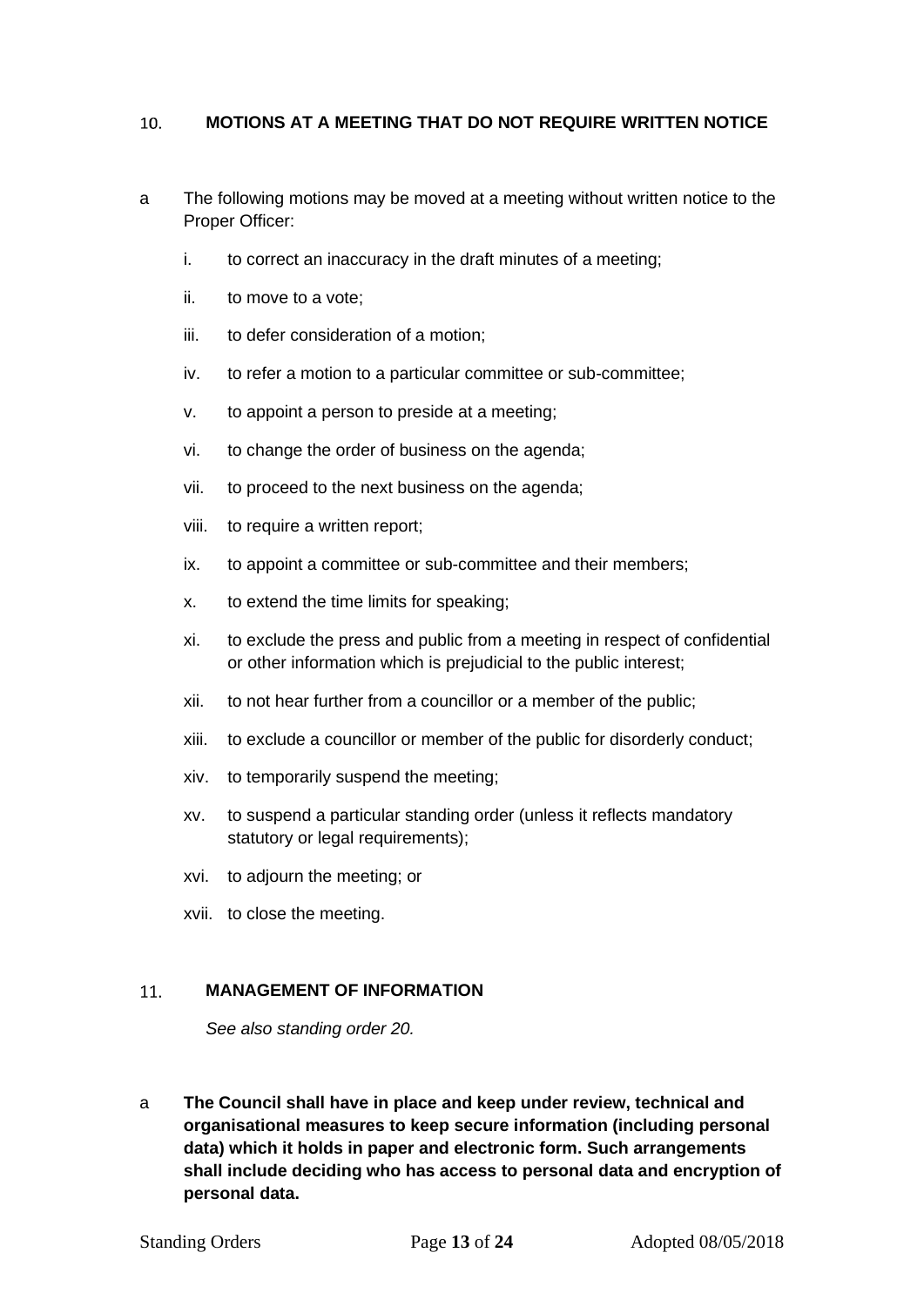#### <span id="page-12-0"></span>**MOTIONS AT A MEETING THAT DO NOT REQUIRE WRITTEN NOTICE**   $10.$

- a The following motions may be moved at a meeting without written notice to the Proper Officer:
	- i. to correct an inaccuracy in the draft minutes of a meeting;
	- ii. to move to a vote;
	- iii. to defer consideration of a motion;
	- iv. to refer a motion to a particular committee or sub-committee;
	- v. to appoint a person to preside at a meeting;
	- vi. to change the order of business on the agenda;
	- vii. to proceed to the next business on the agenda;
	- viii. to require a written report;
	- ix. to appoint a committee or sub-committee and their members;
	- x. to extend the time limits for speaking;
	- xi. to exclude the press and public from a meeting in respect of confidential or other information which is prejudicial to the public interest;
	- xii. to not hear further from a councillor or a member of the public;
	- xiii. to exclude a councillor or member of the public for disorderly conduct;
	- xiv. to temporarily suspend the meeting;
	- xv. to suspend a particular standing order (unless it reflects mandatory statutory or legal requirements);
	- xvi. to adjourn the meeting; or
	- xvii. to close the meeting.

#### <span id="page-12-1"></span>11. **MANAGEMENT OF INFORMATION**

*See also standing order 20.*

a **The Council shall have in place and keep under review, technical and organisational measures to keep secure information (including personal data) which it holds in paper and electronic form. Such arrangements shall include deciding who has access to personal data and encryption of personal data.**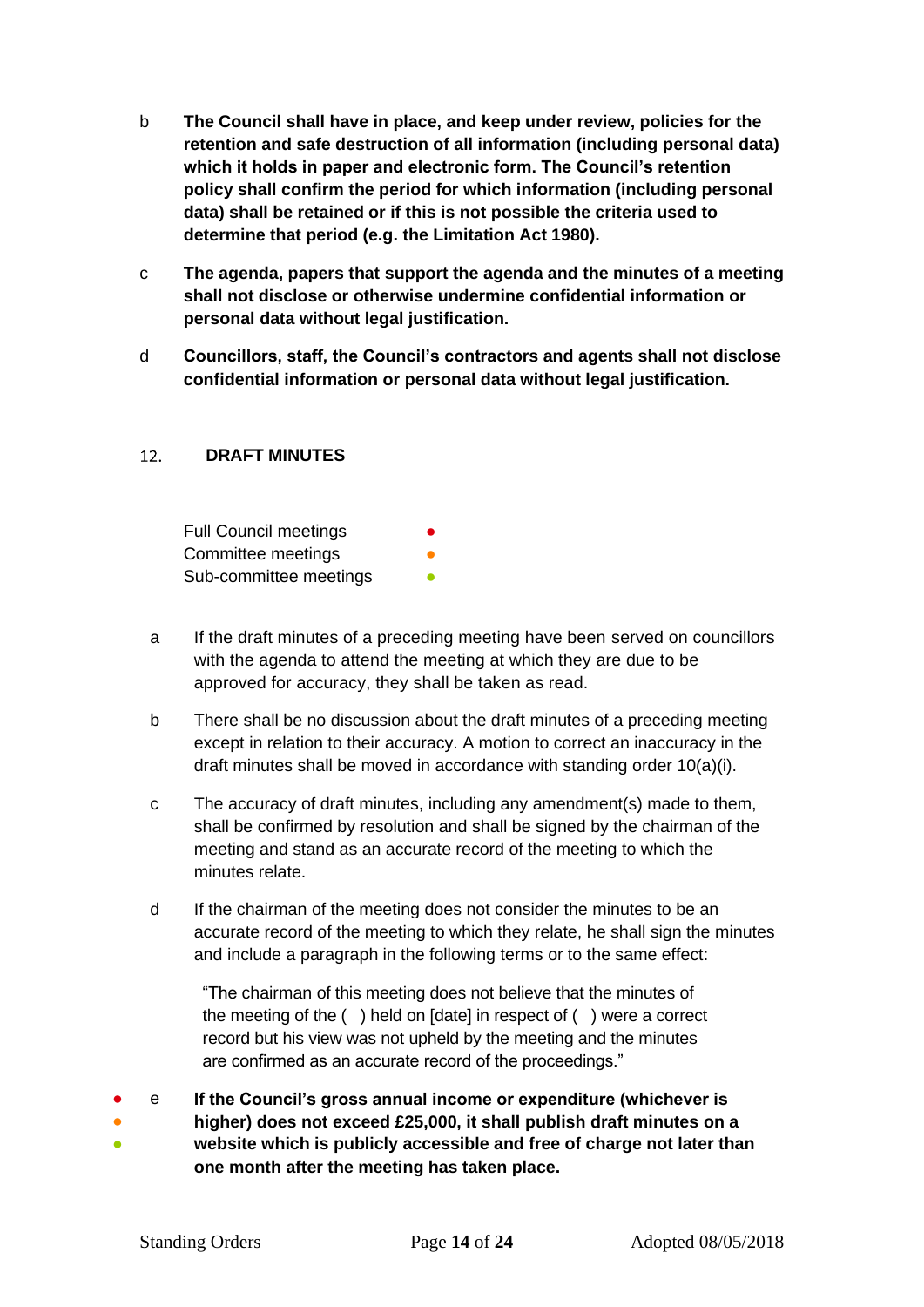- b **The Council shall have in place, and keep under review, policies for the retention and safe destruction of all information (including personal data) which it holds in paper and electronic form. The Council's retention policy shall confirm the period for which information (including personal data) shall be retained or if this is not possible the criteria used to determine that period (e.g. the Limitation Act 1980).**
- c **The agenda, papers that support the agenda and the minutes of a meeting shall not disclose or otherwise undermine confidential information or personal data without legal justification.**
- d **Councillors, staff, the Council's contractors and agents shall not disclose confidential information or personal data without legal justification.**

#### <span id="page-13-0"></span>**DRAFT MINUTES**   $12<sub>1</sub>$

Full Council meetings Committee meetings Sub-committee meetings **•** 

- a If the draft minutes of a preceding meeting have been served on councillors with the agenda to attend the meeting at which they are due to be approved for accuracy, they shall be taken as read.
- b There shall be no discussion about the draft minutes of a preceding meeting except in relation to their accuracy. A motion to correct an inaccuracy in the draft minutes shall be moved in accordance with standing order 10(a)(i).
- c The accuracy of draft minutes, including any amendment(s) made to them, shall be confirmed by resolution and shall be signed by the chairman of the meeting and stand as an accurate record of the meeting to which the minutes relate.
- d If the chairman of the meeting does not consider the minutes to be an accurate record of the meeting to which they relate, he shall sign the minutes and include a paragraph in the following terms or to the same effect:

"The chairman of this meeting does not believe that the minutes of the meeting of the ( ) held on [date] in respect of ( ) were a correct record but his view was not upheld by the meeting and the minutes are confirmed as an accurate record of the proceedings."

- e **If the Council's gross annual income or expenditure (whichever is**
- ● **higher) does not exceed £25,000, it shall publish draft minutes on a** 
	- **website which is publicly accessible and free of charge not later than one month after the meeting has taken place.**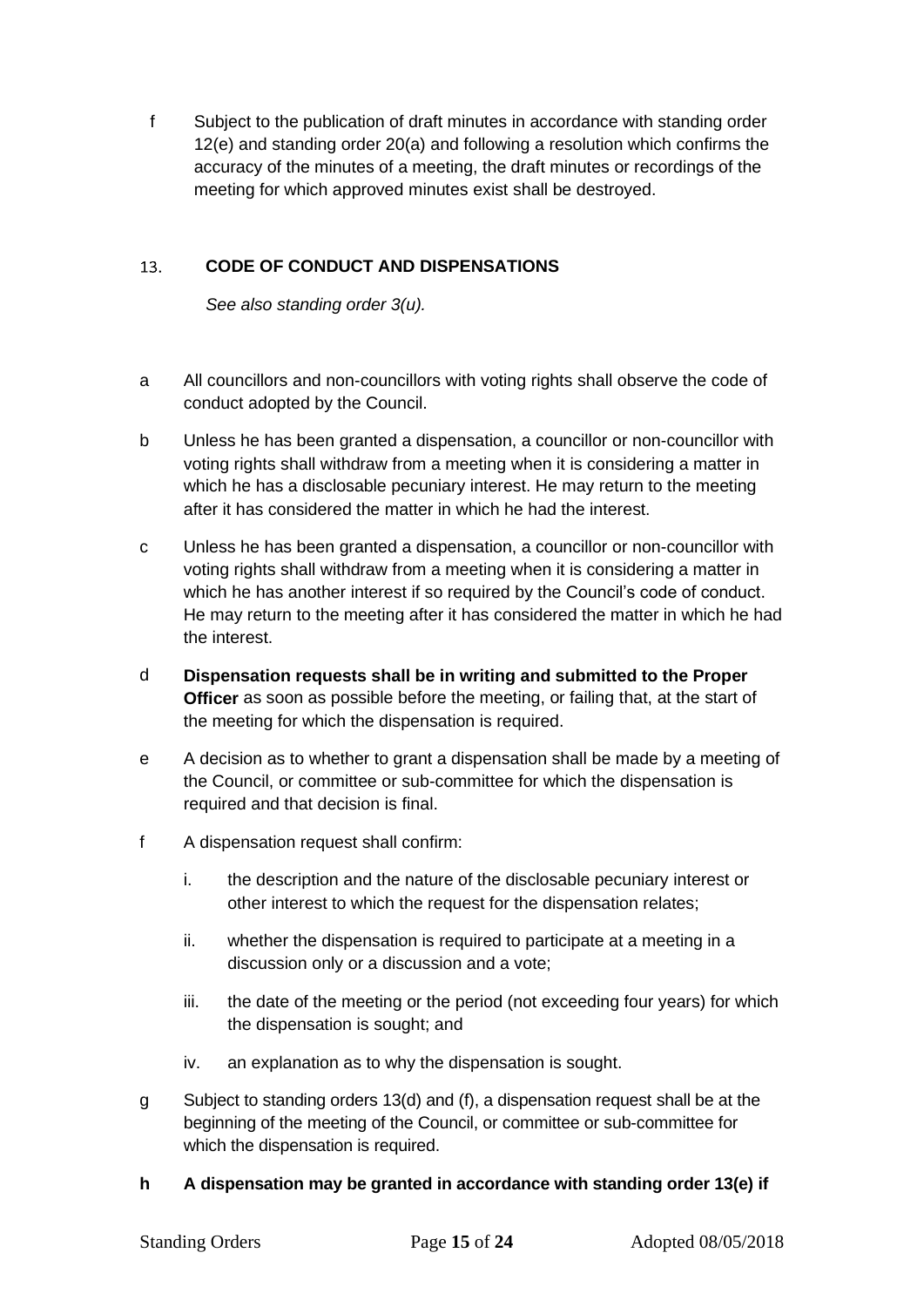f Subject to the publication of draft minutes in accordance with standing order 12(e) and standing order 20(a) and following a resolution which confirms the accuracy of the minutes of a meeting, the draft minutes or recordings of the meeting for which approved minutes exist shall be destroyed.

#### <span id="page-14-0"></span> $13<sup>7</sup>$ **CODE OF CONDUCT AND DISPENSATIONS**

*See also standing order 3(u).*

- a All councillors and non-councillors with voting rights shall observe the code of conduct adopted by the Council.
- b Unless he has been granted a dispensation, a councillor or non-councillor with voting rights shall withdraw from a meeting when it is considering a matter in which he has a disclosable pecuniary interest. He may return to the meeting after it has considered the matter in which he had the interest.
- c Unless he has been granted a dispensation, a councillor or non-councillor with voting rights shall withdraw from a meeting when it is considering a matter in which he has another interest if so required by the Council's code of conduct. He may return to the meeting after it has considered the matter in which he had the interest.
- d **Dispensation requests shall be in writing and submitted to the Proper Officer** as soon as possible before the meeting, or failing that, at the start of the meeting for which the dispensation is required.
- e A decision as to whether to grant a dispensation shall be made by a meeting of the Council, or committee or sub-committee for which the dispensation is required and that decision is final.
- f A dispensation request shall confirm:
	- i. the description and the nature of the disclosable pecuniary interest or other interest to which the request for the dispensation relates;
	- ii. whether the dispensation is required to participate at a meeting in a discussion only or a discussion and a vote;
	- iii. the date of the meeting or the period (not exceeding four years) for which the dispensation is sought; and
	- iv. an explanation as to why the dispensation is sought.
- g Subject to standing orders 13(d) and (f), a dispensation request shall be at the beginning of the meeting of the Council, or committee or sub-committee for which the dispensation is required.

# **h A dispensation may be granted in accordance with standing order 13(e) if**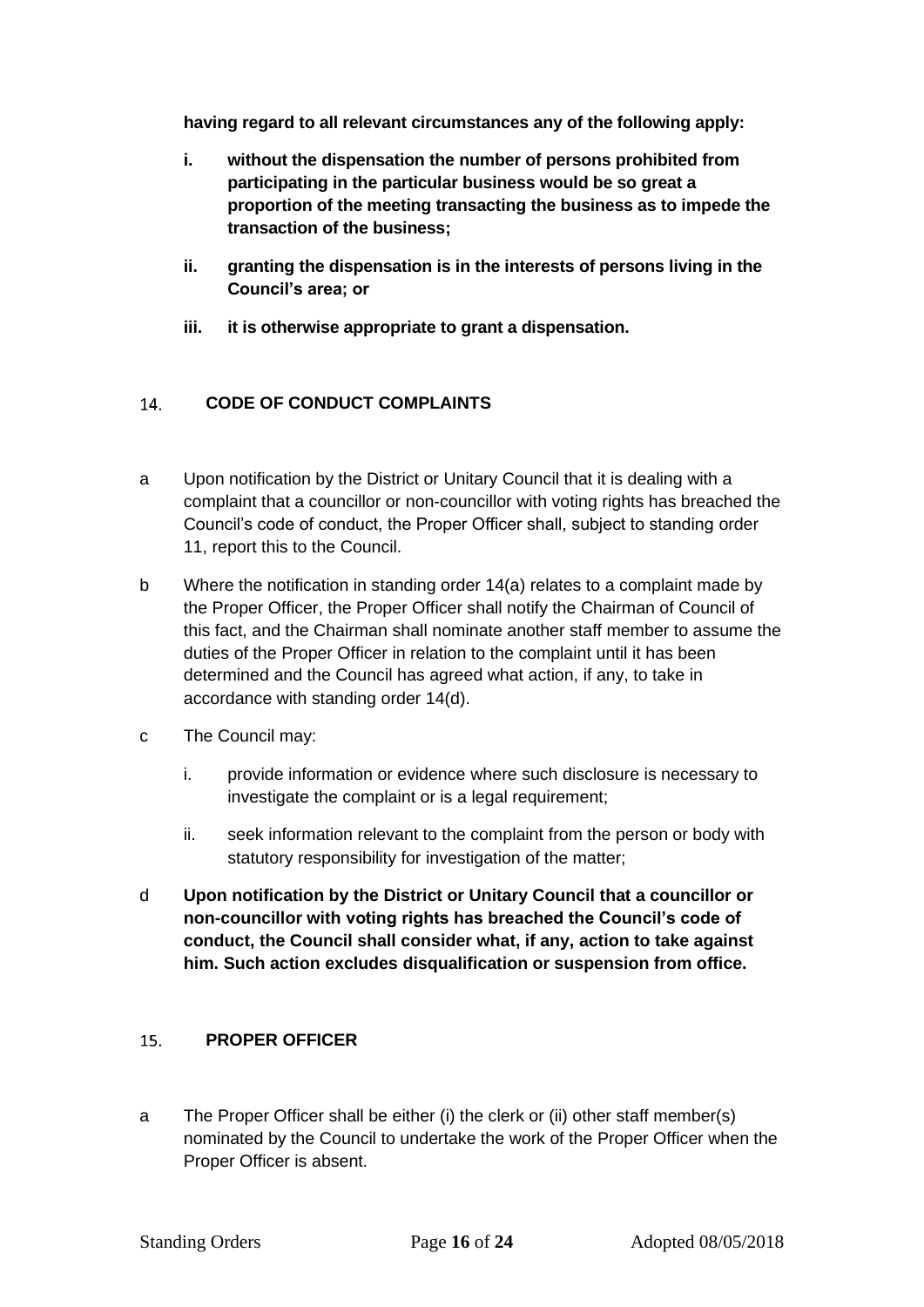**having regard to all relevant circumstances any of the following apply:**

- **i. without the dispensation the number of persons prohibited from participating in the particular business would be so great a proportion of the meeting transacting the business as to impede the transaction of the business;**
- **ii. granting the dispensation is in the interests of persons living in the Council's area; or**
- **iii. it is otherwise appropriate to grant a dispensation.**

#### <span id="page-15-0"></span> $14.$ **CODE OF CONDUCT COMPLAINTS**

- a Upon notification by the District or Unitary Council that it is dealing with a complaint that a councillor or non-councillor with voting rights has breached the Council's code of conduct, the Proper Officer shall, subject to standing order 11, report this to the Council.
- b Where the notification in standing order 14(a) relates to a complaint made by the Proper Officer, the Proper Officer shall notify the Chairman of Council of this fact, and the Chairman shall nominate another staff member to assume the duties of the Proper Officer in relation to the complaint until it has been determined and the Council has agreed what action, if any, to take in accordance with standing order 14(d).
- c The Council may:
	- i. provide information or evidence where such disclosure is necessary to investigate the complaint or is a legal requirement;
	- ii. seek information relevant to the complaint from the person or body with statutory responsibility for investigation of the matter;
- d **Upon notification by the District or Unitary Council that a councillor or non-councillor with voting rights has breached the Council's code of conduct, the Council shall consider what, if any, action to take against him. Such action excludes disqualification or suspension from office.**

#### <span id="page-15-1"></span> $15 -$ **PROPER OFFICER**

a The Proper Officer shall be either (i) the clerk or (ii) other staff member(s) nominated by the Council to undertake the work of the Proper Officer when the Proper Officer is absent.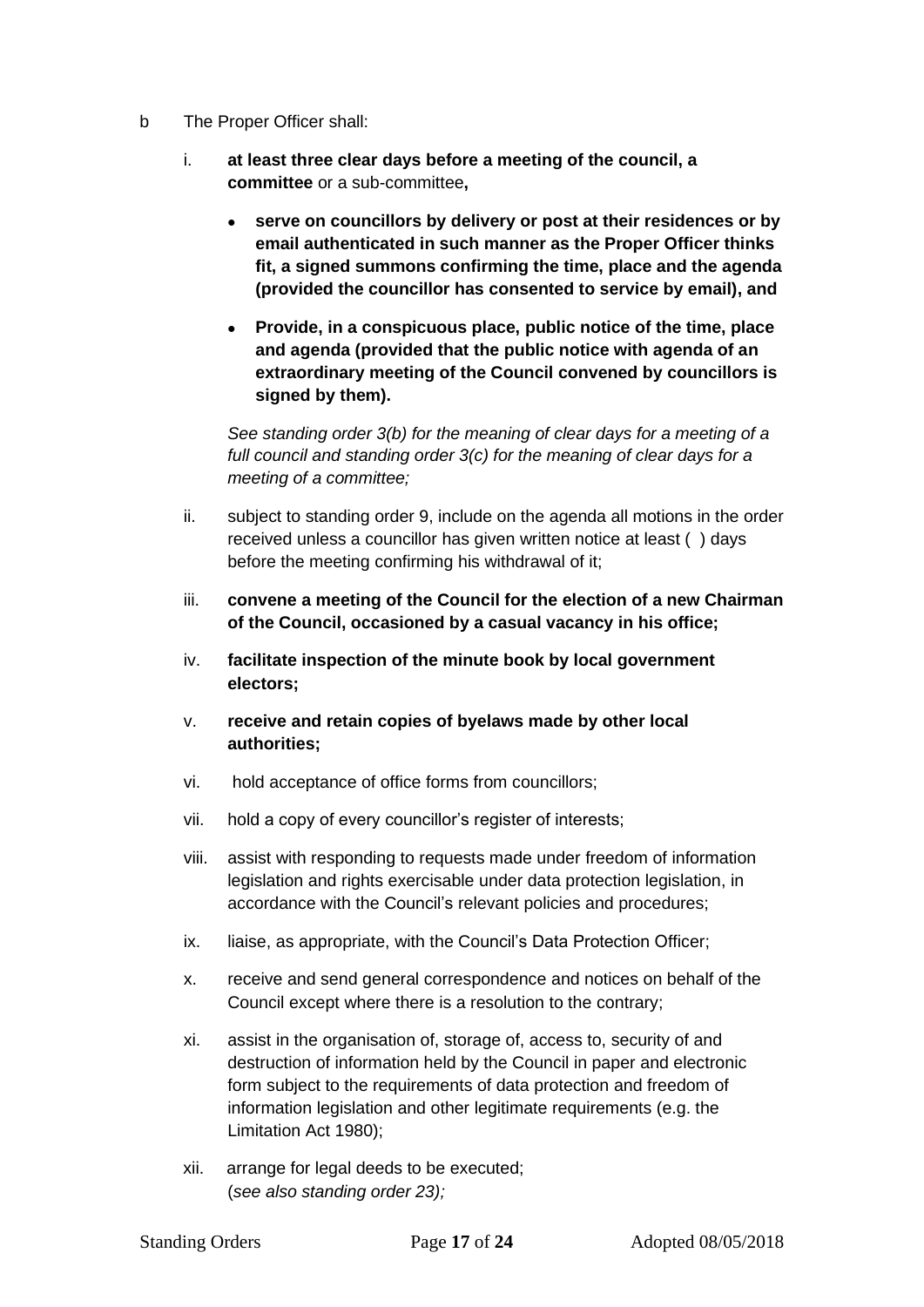- b The Proper Officer shall:
	- i. **at least three clear days before a meeting of the council, a committee** or a sub-committee**,**
		- **serve on councillors by delivery or post at their residences or by email authenticated in such manner as the Proper Officer thinks fit, a signed summons confirming the time, place and the agenda (provided the councillor has consented to service by email), and**
		- **Provide, in a conspicuous place, public notice of the time, place and agenda (provided that the public notice with agenda of an extraordinary meeting of the Council convened by councillors is signed by them).**

*See standing order 3(b) for the meaning of clear days for a meeting of a full council and standing order 3(c) for the meaning of clear days for a meeting of a committee;*

- ii. subject to standing order 9, include on the agenda all motions in the order received unless a councillor has given written notice at least ( ) days before the meeting confirming his withdrawal of it;
- iii. **convene a meeting of the Council for the election of a new Chairman of the Council, occasioned by a casual vacancy in his office;**
- iv. **facilitate inspection of the minute book by local government electors;**
- v. **receive and retain copies of byelaws made by other local authorities;**
- vi. hold acceptance of office forms from councillors;
- vii. hold a copy of every councillor's register of interests;
- viii. assist with responding to requests made under freedom of information legislation and rights exercisable under data protection legislation, in accordance with the Council's relevant policies and procedures;
- ix. liaise, as appropriate, with the Council's Data Protection Officer;
- x. receive and send general correspondence and notices on behalf of the Council except where there is a resolution to the contrary;
- xi. assist in the organisation of, storage of, access to, security of and destruction of information held by the Council in paper and electronic form subject to the requirements of data protection and freedom of information legislation and other legitimate requirements (e.g. the Limitation Act 1980);
- xii. arrange for legal deeds to be executed; (*see also standing order 23);*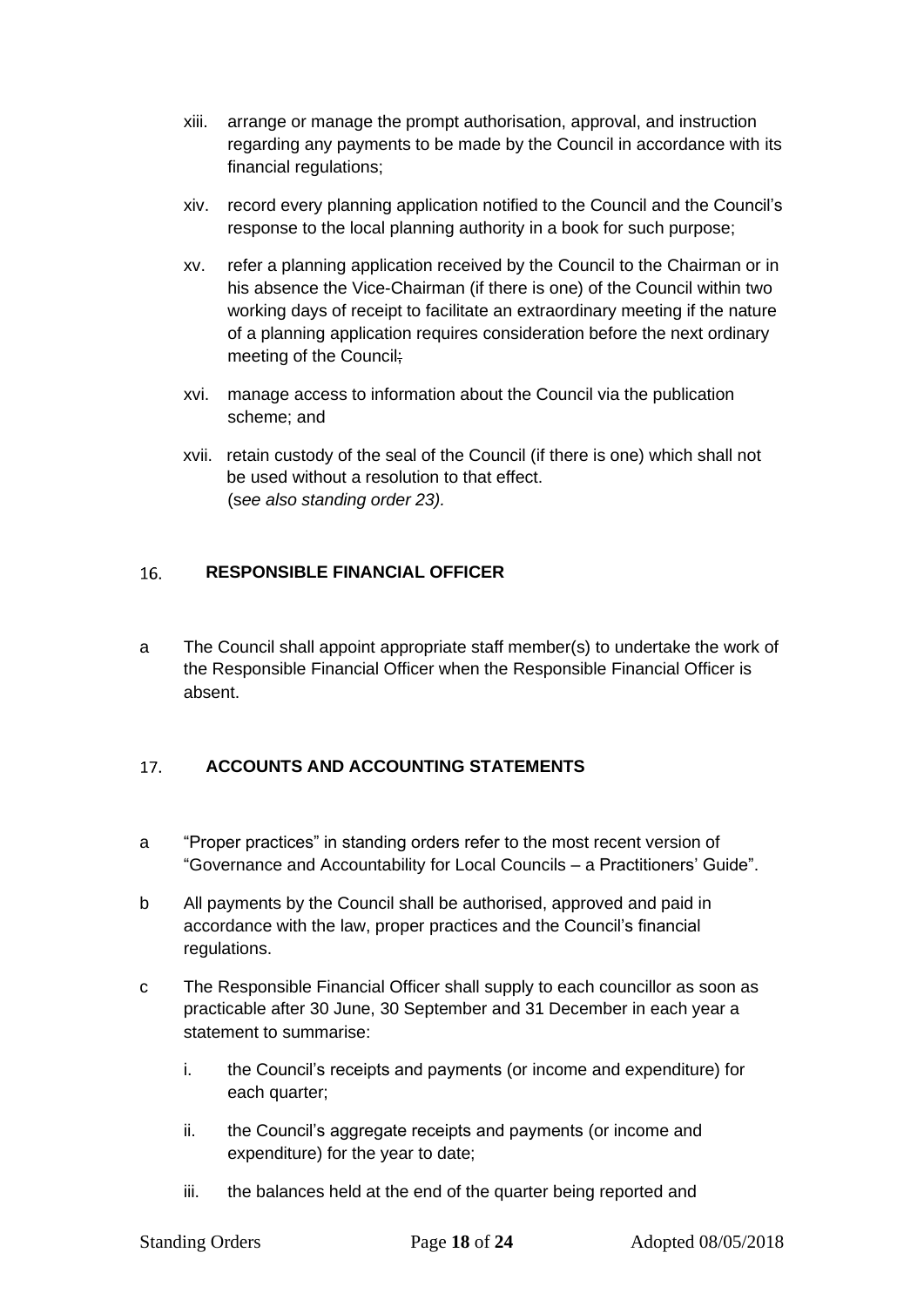- xiii. arrange or manage the prompt authorisation, approval, and instruction regarding any payments to be made by the Council in accordance with its financial regulations;
- xiv. record every planning application notified to the Council and the Council's response to the local planning authority in a book for such purpose;
- xv. refer a planning application received by the Council to the Chairman or in his absence the Vice-Chairman (if there is one) of the Council within two working days of receipt to facilitate an extraordinary meeting if the nature of a planning application requires consideration before the next ordinary meeting of the Council;
- xvi. manage access to information about the Council via the publication scheme; and
- xvii. retain custody of the seal of the Council (if there is one) which shall not be used without a resolution to that effect. (s*ee also standing order 23).*

#### <span id="page-17-0"></span> $16.$ **RESPONSIBLE FINANCIAL OFFICER**

a The Council shall appoint appropriate staff member(s) to undertake the work of the Responsible Financial Officer when the Responsible Financial Officer is absent.

#### <span id="page-17-1"></span> $17<sub>1</sub>$ **ACCOUNTS AND ACCOUNTING STATEMENTS**

- a "Proper practices" in standing orders refer to the most recent version of "Governance and Accountability for Local Councils – a Practitioners' Guide".
- b All payments by the Council shall be authorised, approved and paid in accordance with the law, proper practices and the Council's financial regulations.
- c The Responsible Financial Officer shall supply to each councillor as soon as practicable after 30 June, 30 September and 31 December in each year a statement to summarise:
	- i. the Council's receipts and payments (or income and expenditure) for each quarter;
	- ii. the Council's aggregate receipts and payments (or income and expenditure) for the year to date;
	- iii. the balances held at the end of the quarter being reported and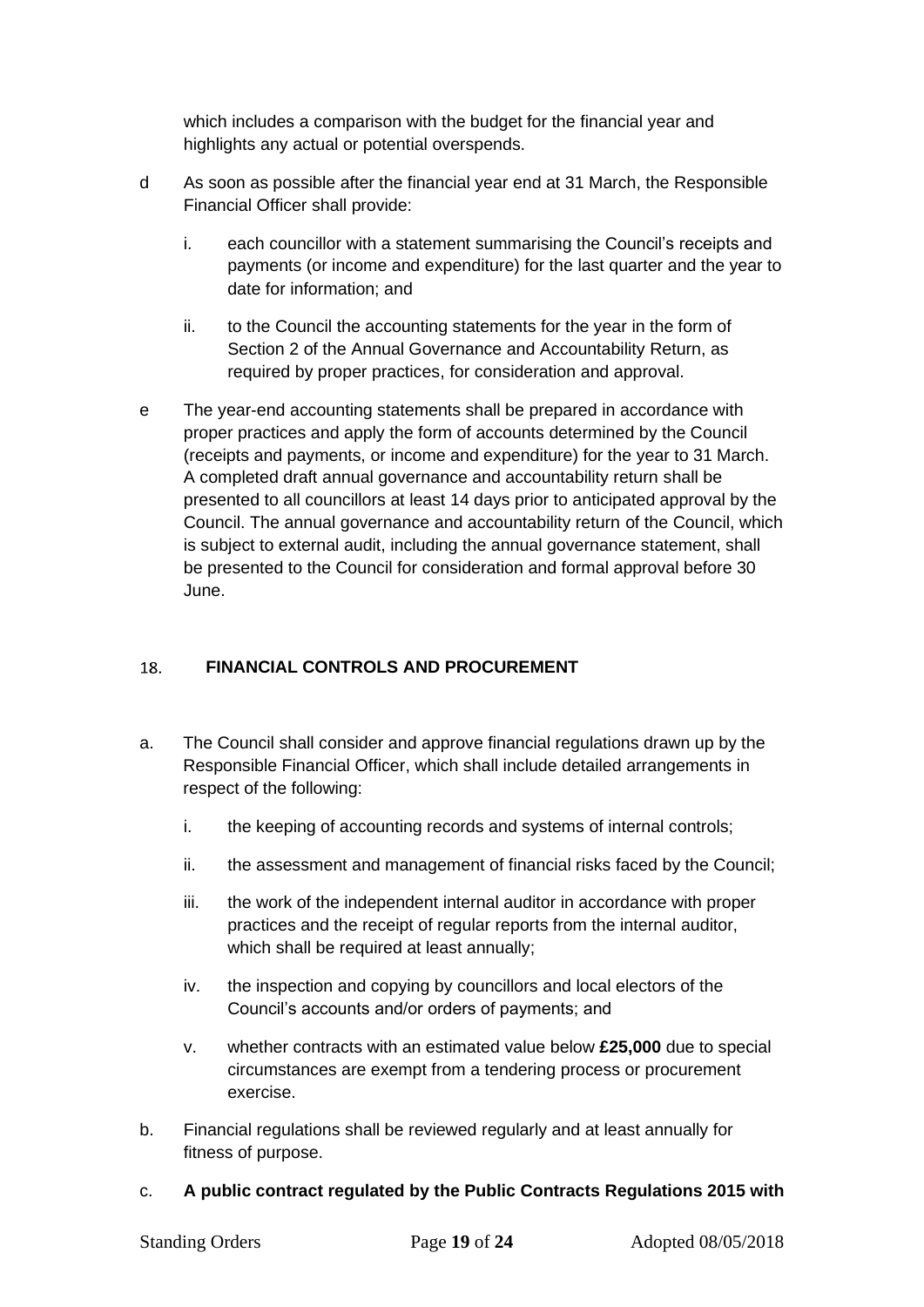which includes a comparison with the budget for the financial year and highlights any actual or potential overspends.

- d As soon as possible after the financial year end at 31 March, the Responsible Financial Officer shall provide:
	- i. each councillor with a statement summarising the Council's receipts and payments (or income and expenditure) for the last quarter and the year to date for information; and
	- ii. to the Council the accounting statements for the year in the form of Section 2 of the Annual Governance and Accountability Return, as required by proper practices, for consideration and approval.
- e The year-end accounting statements shall be prepared in accordance with proper practices and apply the form of accounts determined by the Council (receipts and payments, or income and expenditure) for the year to 31 March. A completed draft annual governance and accountability return shall be presented to all councillors at least 14 days prior to anticipated approval by the Council. The annual governance and accountability return of the Council, which is subject to external audit, including the annual governance statement, shall be presented to the Council for consideration and formal approval before 30 June.

#### <span id="page-18-0"></span>18. **FINANCIAL CONTROLS AND PROCUREMENT**

- a. The Council shall consider and approve financial regulations drawn up by the Responsible Financial Officer, which shall include detailed arrangements in respect of the following:
	- i. the keeping of accounting records and systems of internal controls;
	- ii. the assessment and management of financial risks faced by the Council;
	- iii. the work of the independent internal auditor in accordance with proper practices and the receipt of regular reports from the internal auditor, which shall be required at least annually;
	- iv. the inspection and copying by councillors and local electors of the Council's accounts and/or orders of payments; and
	- v. whether contracts with an estimated value below **£25,000** due to special circumstances are exempt from a tendering process or procurement exercise.
- b. Financial regulations shall be reviewed regularly and at least annually for fitness of purpose.
- c. **A public contract regulated by the Public Contracts Regulations 2015 with**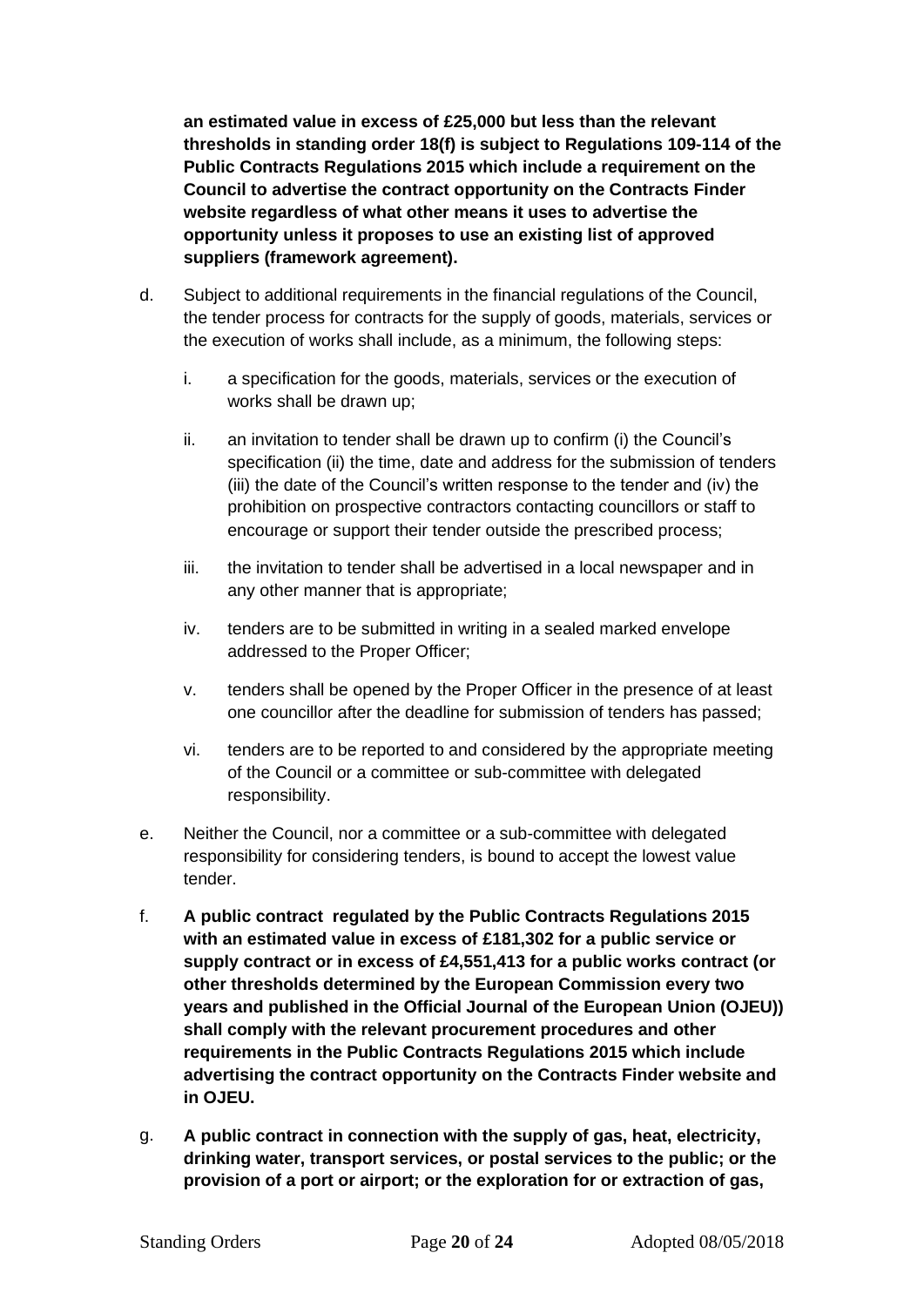**an estimated value in excess of £25,000 but less than the relevant thresholds in standing order 18(f) is subject to Regulations 109-114 of the Public Contracts Regulations 2015 which include a requirement on the Council to advertise the contract opportunity on the Contracts Finder website regardless of what other means it uses to advertise the opportunity unless it proposes to use an existing list of approved suppliers (framework agreement).**

- d. Subject to additional requirements in the financial regulations of the Council, the tender process for contracts for the supply of goods, materials, services or the execution of works shall include, as a minimum, the following steps:
	- i. a specification for the goods, materials, services or the execution of works shall be drawn up;
	- ii. an invitation to tender shall be drawn up to confirm (i) the Council's specification (ii) the time, date and address for the submission of tenders (iii) the date of the Council's written response to the tender and (iv) the prohibition on prospective contractors contacting councillors or staff to encourage or support their tender outside the prescribed process;
	- iii. the invitation to tender shall be advertised in a local newspaper and in any other manner that is appropriate;
	- iv. tenders are to be submitted in writing in a sealed marked envelope addressed to the Proper Officer;
	- v. tenders shall be opened by the Proper Officer in the presence of at least one councillor after the deadline for submission of tenders has passed;
	- vi. tenders are to be reported to and considered by the appropriate meeting of the Council or a committee or sub-committee with delegated responsibility.
- e. Neither the Council, nor a committee or a sub-committee with delegated responsibility for considering tenders, is bound to accept the lowest value tender.
- f. **A public contract regulated by the Public Contracts Regulations 2015 with an estimated value in excess of £181,302 for a public service or supply contract or in excess of £4,551,413 for a public works contract (or other thresholds determined by the European Commission every two years and published in the Official Journal of the European Union (OJEU)) shall comply with the relevant procurement procedures and other requirements in the Public Contracts Regulations 2015 which include advertising the contract opportunity on the Contracts Finder website and in OJEU.**
- g. **A public contract in connection with the supply of gas, heat, electricity, drinking water, transport services, or postal services to the public; or the provision of a port or airport; or the exploration for or extraction of gas,**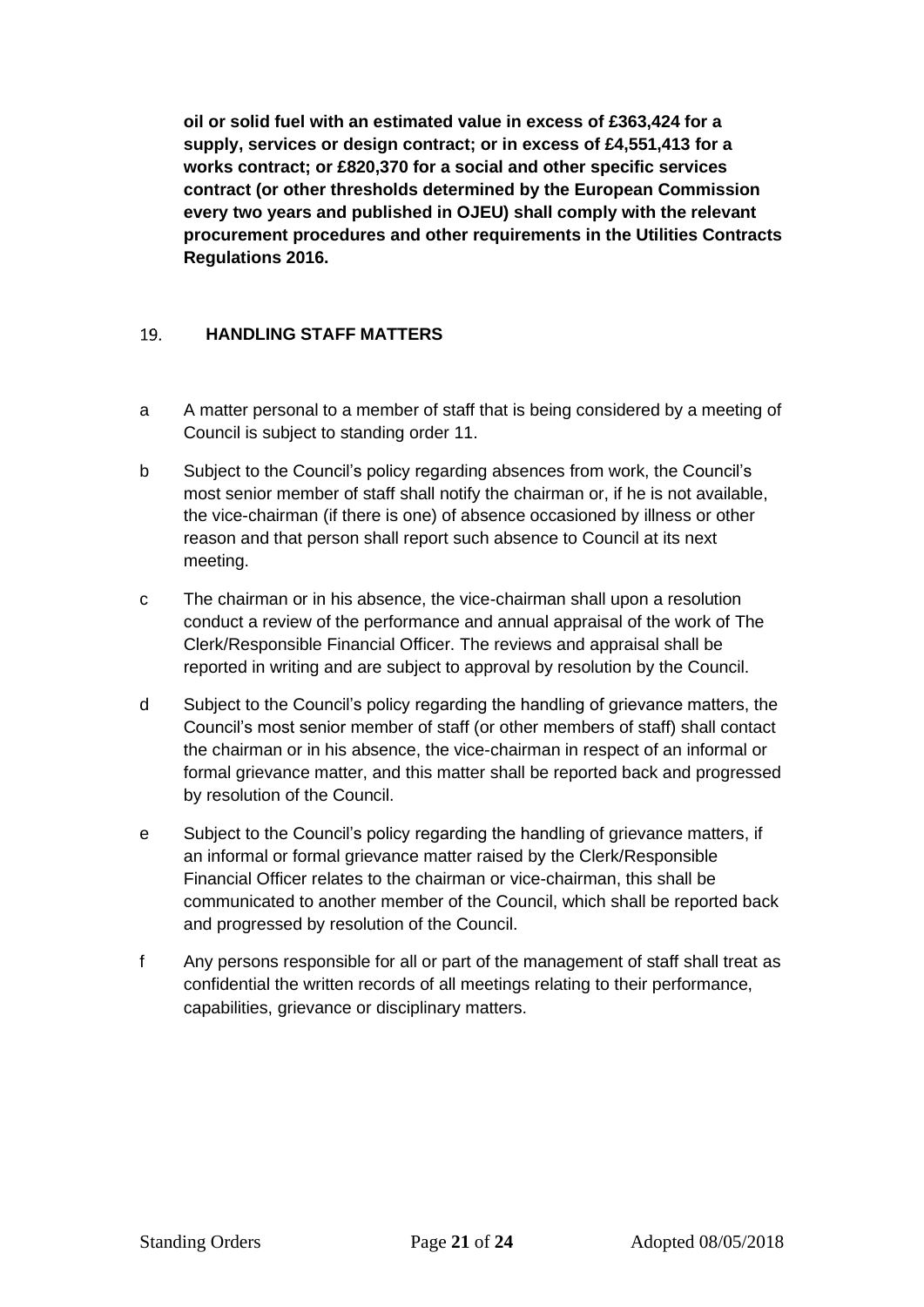**oil or solid fuel with an estimated value in excess of £363,424 for a supply, services or design contract; or in excess of £4,551,413 for a works contract; or £820,370 for a social and other specific services contract (or other thresholds determined by the European Commission every two years and published in OJEU) shall comply with the relevant procurement procedures and other requirements in the Utilities Contracts Regulations 2016.**

#### <span id="page-20-0"></span>19. **HANDLING STAFF MATTERS**

- a A matter personal to a member of staff that is being considered by a meeting of Council is subject to standing order 11.
- b Subject to the Council's policy regarding absences from work, the Council's most senior member of staff shall notify the chairman or, if he is not available, the vice-chairman (if there is one) of absence occasioned by illness or other reason and that person shall report such absence to Council at its next meeting.
- c The chairman or in his absence, the vice-chairman shall upon a resolution conduct a review of the performance and annual appraisal of the work of The Clerk/Responsible Financial Officer. The reviews and appraisal shall be reported in writing and are subject to approval by resolution by the Council.
- d Subject to the Council's policy regarding the handling of grievance matters, the Council's most senior member of staff (or other members of staff) shall contact the chairman or in his absence, the vice-chairman in respect of an informal or formal grievance matter, and this matter shall be reported back and progressed by resolution of the Council.
- e Subject to the Council's policy regarding the handling of grievance matters, if an informal or formal grievance matter raised by the Clerk/Responsible Financial Officer relates to the chairman or vice-chairman, this shall be communicated to another member of the Council, which shall be reported back and progressed by resolution of the Council.
- f Any persons responsible for all or part of the management of staff shall treat as confidential the written records of all meetings relating to their performance, capabilities, grievance or disciplinary matters.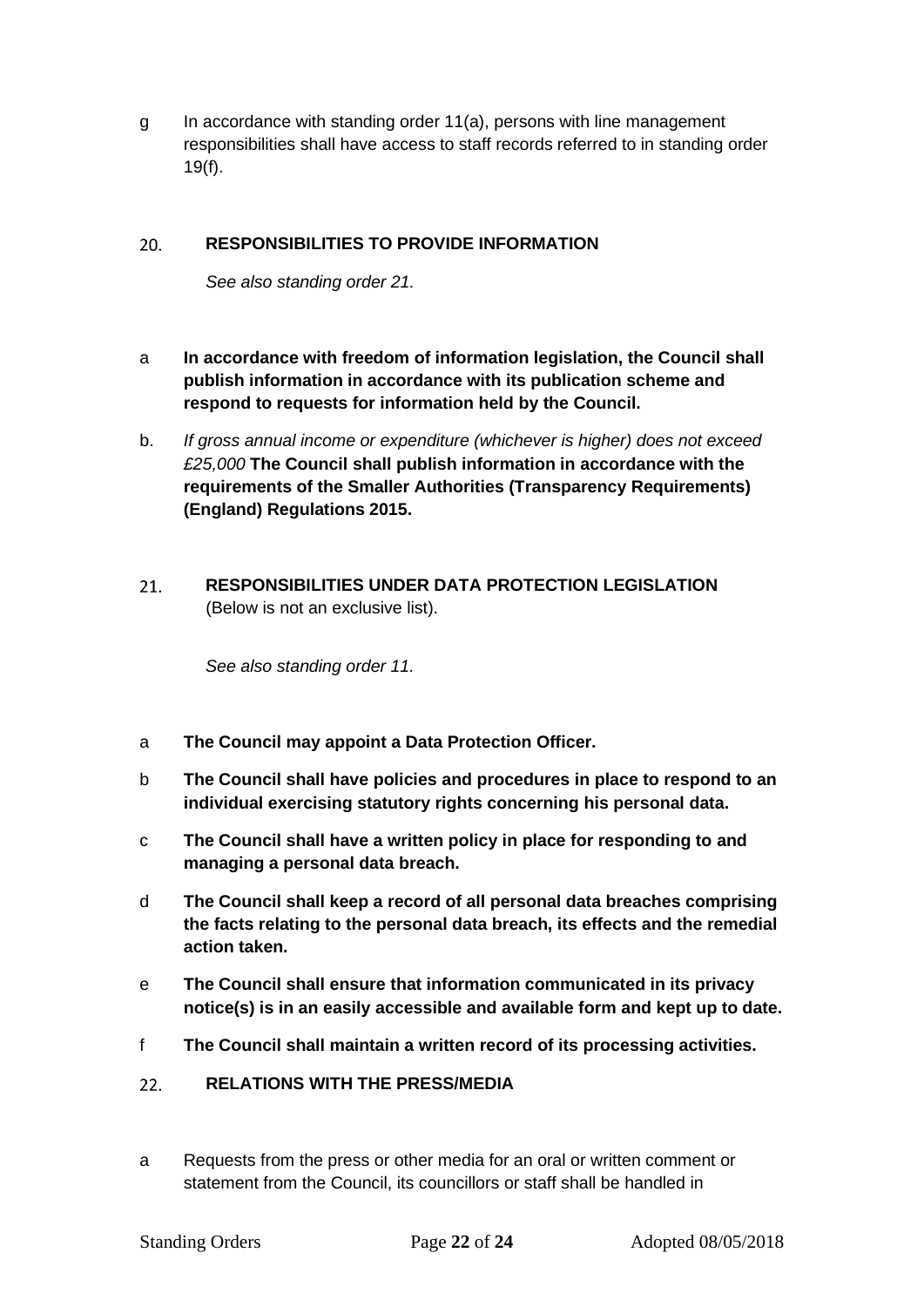g In accordance with standing order 11(a), persons with line management responsibilities shall have access to staff records referred to in standing order 19(f).

#### <span id="page-21-0"></span> $20.$ **RESPONSIBILITIES TO PROVIDE INFORMATION**

*See also standing order 21.*

- a **In accordance with freedom of information legislation, the Council shall publish information in accordance with its publication scheme and respond to requests for information held by the Council.**
- b. *If gross annual income or expenditure (whichever is higher) does not exceed £25,000* **The Council shall publish information in accordance with the requirements of the Smaller Authorities (Transparency Requirements) (England) Regulations 2015.**
- <span id="page-21-1"></span>**RESPONSIBILITIES UNDER DATA PROTECTION LEGISLATION**   $21.$ (Below is not an exclusive list).

*See also standing order 11.*

- a **The Council may appoint a Data Protection Officer.**
- b **The Council shall have policies and procedures in place to respond to an individual exercising statutory rights concerning his personal data.**
- c **The Council shall have a written policy in place for responding to and managing a personal data breach.**
- d **The Council shall keep a record of all personal data breaches comprising the facts relating to the personal data breach, its effects and the remedial action taken.**
- e **The Council shall ensure that information communicated in its privacy notice(s) is in an easily accessible and available form and kept up to date.**
- f **The Council shall maintain a written record of its processing activities.**
- <span id="page-21-2"></span>**RELATIONS WITH THE PRESS/MEDIA**  $22.$
- a Requests from the press or other media for an oral or written comment or statement from the Council, its councillors or staff shall be handled in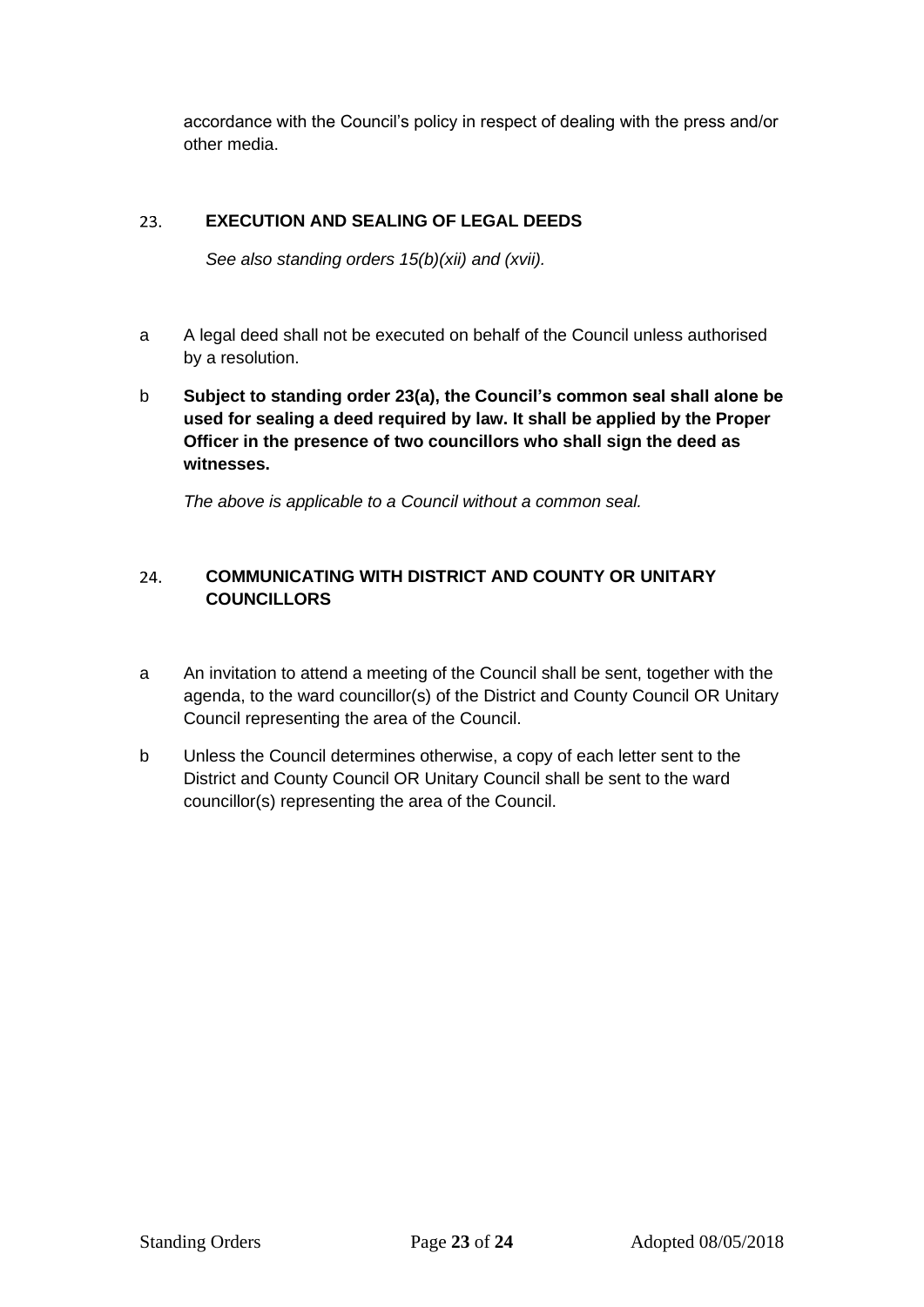accordance with the Council's policy in respect of dealing with the press and/or other media.

#### <span id="page-22-0"></span>23. **EXECUTION AND SEALING OF LEGAL DEEDS**

*See also standing orders 15(b)(xii) and (xvii).*

- a A legal deed shall not be executed on behalf of the Council unless authorised by a resolution.
- b **Subject to standing order 23(a), the Council's common seal shall alone be used for sealing a deed required by law. It shall be applied by the Proper Officer in the presence of two councillors who shall sign the deed as witnesses.**

*The above is applicable to a Council without a common seal.*

## <span id="page-22-1"></span>24. **COMMUNICATING WITH DISTRICT AND COUNTY OR UNITARY COUNCILLORS**

- a An invitation to attend a meeting of the Council shall be sent, together with the agenda, to the ward councillor(s) of the District and County Council OR Unitary Council representing the area of the Council.
- b Unless the Council determines otherwise, a copy of each letter sent to the District and County Council OR Unitary Council shall be sent to the ward councillor(s) representing the area of the Council.